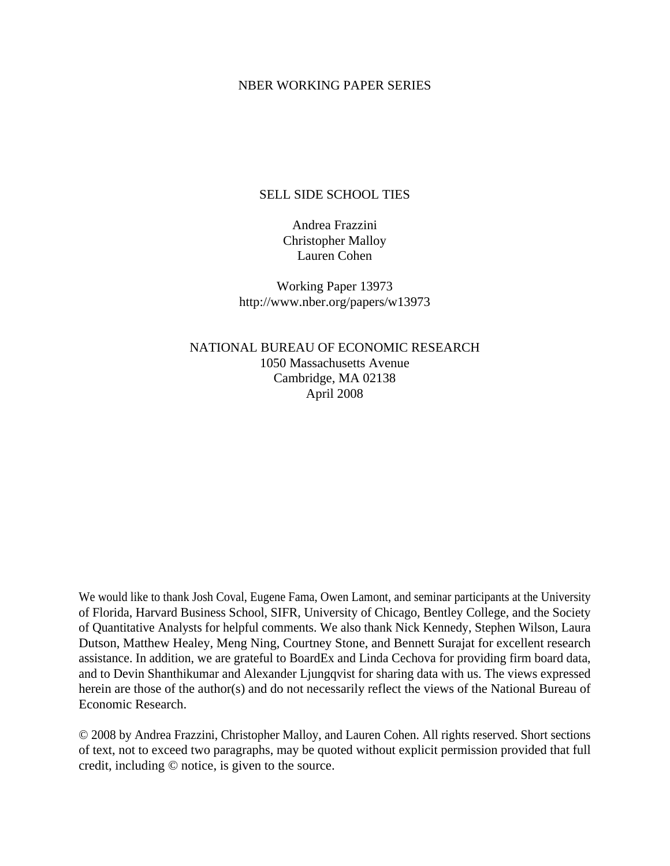### NBER WORKING PAPER SERIES

### SELL SIDE SCHOOL TIES

Andrea Frazzini Christopher Malloy Lauren Cohen

Working Paper 13973 http://www.nber.org/papers/w13973

NATIONAL BUREAU OF ECONOMIC RESEARCH 1050 Massachusetts Avenue Cambridge, MA 02138 April 2008

We would like to thank Josh Coval, Eugene Fama, Owen Lamont, and seminar participants at the University of Florida, Harvard Business School, SIFR, University of Chicago, Bentley College, and the Society of Quantitative Analysts for helpful comments. We also thank Nick Kennedy, Stephen Wilson, Laura Dutson, Matthew Healey, Meng Ning, Courtney Stone, and Bennett Surajat for excellent research assistance. In addition, we are grateful to BoardEx and Linda Cechova for providing firm board data, and to Devin Shanthikumar and Alexander Ljungqvist for sharing data with us. The views expressed herein are those of the author(s) and do not necessarily reflect the views of the National Bureau of Economic Research.

© 2008 by Andrea Frazzini, Christopher Malloy, and Lauren Cohen. All rights reserved. Short sections of text, not to exceed two paragraphs, may be quoted without explicit permission provided that full credit, including © notice, is given to the source.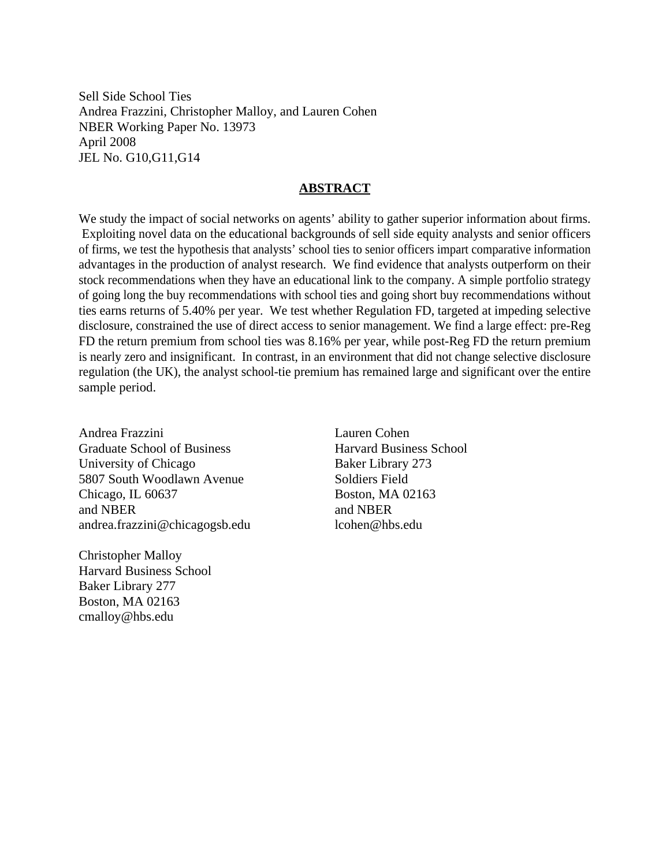Sell Side School Ties Andrea Frazzini, Christopher Malloy, and Lauren Cohen NBER Working Paper No. 13973 April 2008 JEL No. G10,G11,G14

### **ABSTRACT**

We study the impact of social networks on agents' ability to gather superior information about firms. Exploiting novel data on the educational backgrounds of sell side equity analysts and senior officers of firms, we test the hypothesis that analysts' school ties to senior officers impart comparative information advantages in the production of analyst research. We find evidence that analysts outperform on their stock recommendations when they have an educational link to the company. A simple portfolio strategy of going long the buy recommendations with school ties and going short buy recommendations without ties earns returns of 5.40% per year. We test whether Regulation FD, targeted at impeding selective disclosure, constrained the use of direct access to senior management. We find a large effect: pre-Reg FD the return premium from school ties was 8.16% per year, while post-Reg FD the return premium is nearly zero and insignificant. In contrast, in an environment that did not change selective disclosure regulation (the UK), the analyst school-tie premium has remained large and significant over the entire sample period.

Andrea Frazzini Graduate School of Business University of Chicago 5807 South Woodlawn Avenue Chicago, IL 60637 and NBER andrea.frazzini@chicagogsb.edu

Christopher Malloy Harvard Business School Baker Library 277 Boston, MA 02163 cmalloy@hbs.edu

Lauren Cohen Harvard Business School Baker Library 273 Soldiers Field Boston, MA 02163 and NBER lcohen@hbs.edu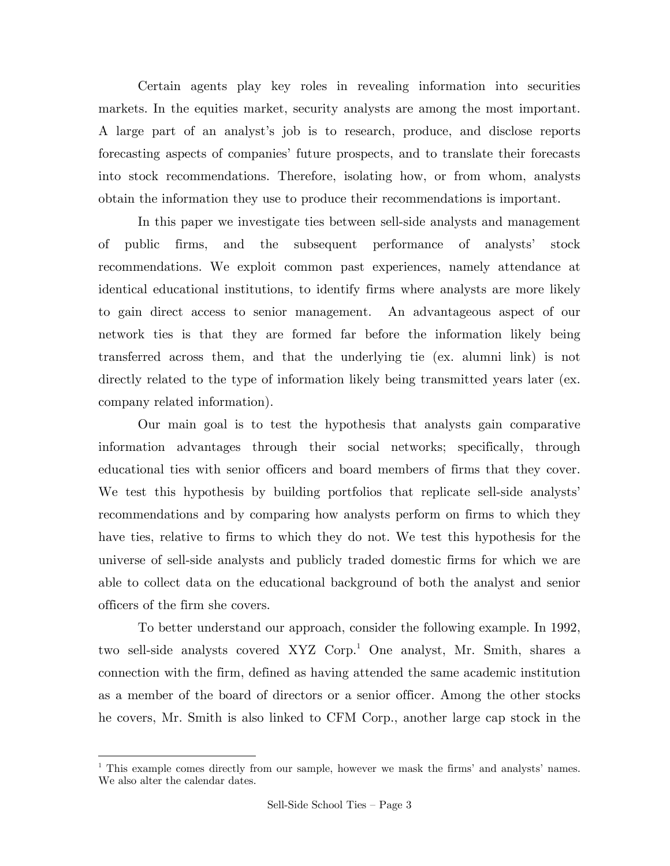Certain agents play key roles in revealing information into securities markets. In the equities market, security analysts are among the most important. A large part of an analyst's job is to research, produce, and disclose reports forecasting aspects of companies' future prospects, and to translate their forecasts into stock recommendations. Therefore, isolating how, or from whom, analysts obtain the information they use to produce their recommendations is important.

 In this paper we investigate ties between sell-side analysts and management of public firms, and the subsequent performance of analysts' stock recommendations. We exploit common past experiences, namely attendance at identical educational institutions, to identify firms where analysts are more likely to gain direct access to senior management. An advantageous aspect of our network ties is that they are formed far before the information likely being transferred across them, and that the underlying tie (ex. alumni link) is not directly related to the type of information likely being transmitted years later (ex. company related information).

 Our main goal is to test the hypothesis that analysts gain comparative information advantages through their social networks; specifically, through educational ties with senior officers and board members of firms that they cover. We test this hypothesis by building portfolios that replicate sell-side analysts' recommendations and by comparing how analysts perform on firms to which they have ties, relative to firms to which they do not. We test this hypothesis for the universe of sell-side analysts and publicly traded domestic firms for which we are able to collect data on the educational background of both the analyst and senior officers of the firm she covers.

 To better understand our approach, consider the following example. In 1992, two sell-side analysts covered XYZ Corp.<sup>1</sup> One analyst, Mr. Smith, shares a connection with the firm, defined as having attended the same academic institution as a member of the board of directors or a senior officer. Among the other stocks he covers, Mr. Smith is also linked to CFM Corp., another large cap stock in the

1

<sup>&</sup>lt;sup>1</sup> This example comes directly from our sample, however we mask the firms' and analysts' names. We also alter the calendar dates.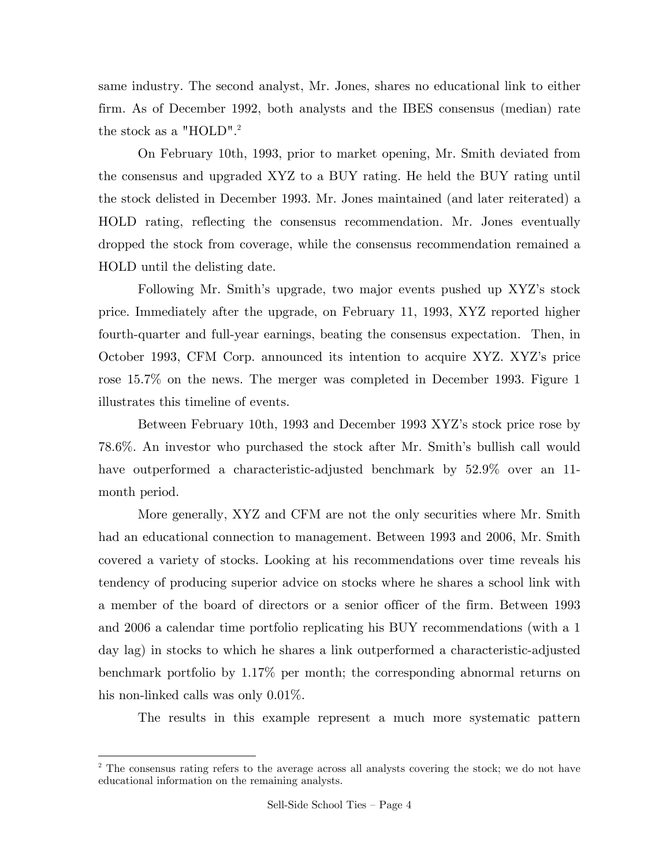same industry. The second analyst, Mr. Jones, shares no educational link to either firm. As of December 1992, both analysts and the IBES consensus (median) rate the stock as a "HOLD".<sup>2</sup>

 On February 10th, 1993, prior to market opening, Mr. Smith deviated from the consensus and upgraded XYZ to a BUY rating. He held the BUY rating until the stock delisted in December 1993. Mr. Jones maintained (and later reiterated) a HOLD rating, reflecting the consensus recommendation. Mr. Jones eventually dropped the stock from coverage, while the consensus recommendation remained a HOLD until the delisting date.

 Following Mr. Smith's upgrade, two major events pushed up XYZ's stock price. Immediately after the upgrade, on February 11, 1993, XYZ reported higher fourth-quarter and full-year earnings, beating the consensus expectation. Then, in October 1993, CFM Corp. announced its intention to acquire XYZ. XYZ's price rose 15.7% on the news. The merger was completed in December 1993. Figure 1 illustrates this timeline of events.

 Between February 10th, 1993 and December 1993 XYZ's stock price rose by 78.6%. An investor who purchased the stock after Mr. Smith's bullish call would have outperformed a characteristic-adjusted benchmark by 52.9% over an 11 month period.

 More generally, XYZ and CFM are not the only securities where Mr. Smith had an educational connection to management. Between 1993 and 2006, Mr. Smith covered a variety of stocks. Looking at his recommendations over time reveals his tendency of producing superior advice on stocks where he shares a school link with a member of the board of directors or a senior officer of the firm. Between 1993 and 2006 a calendar time portfolio replicating his BUY recommendations (with a 1 day lag) in stocks to which he shares a link outperformed a characteristic-adjusted benchmark portfolio by 1.17% per month; the corresponding abnormal returns on his non-linked calls was only  $0.01\%$ .

The results in this example represent a much more systematic pattern

1

<sup>&</sup>lt;sup>2</sup> The consensus rating refers to the average across all analysts covering the stock; we do not have educational information on the remaining analysts.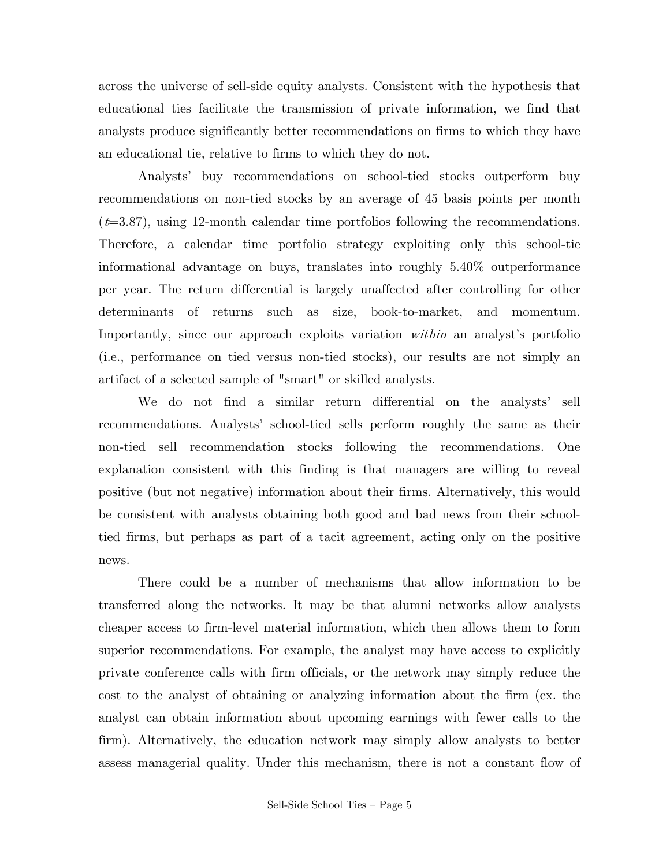across the universe of sell-side equity analysts. Consistent with the hypothesis that educational ties facilitate the transmission of private information, we find that analysts produce significantly better recommendations on firms to which they have an educational tie, relative to firms to which they do not.

 Analysts' buy recommendations on school-tied stocks outperform buy recommendations on non-tied stocks by an average of 45 basis points per month  $(t=3.87)$ , using 12-month calendar time portfolios following the recommendations. Therefore, a calendar time portfolio strategy exploiting only this school-tie informational advantage on buys, translates into roughly 5.40% outperformance per year. The return differential is largely unaffected after controlling for other determinants of returns such as size, book-to-market, and momentum. Importantly, since our approach exploits variation *within* an analyst's portfolio (i.e., performance on tied versus non-tied stocks), our results are not simply an artifact of a selected sample of "smart" or skilled analysts.

 We do not find a similar return differential on the analysts' sell recommendations. Analysts' school-tied sells perform roughly the same as their non-tied sell recommendation stocks following the recommendations. One explanation consistent with this finding is that managers are willing to reveal positive (but not negative) information about their firms. Alternatively, this would be consistent with analysts obtaining both good and bad news from their schooltied firms, but perhaps as part of a tacit agreement, acting only on the positive news.

 There could be a number of mechanisms that allow information to be transferred along the networks. It may be that alumni networks allow analysts cheaper access to firm-level material information, which then allows them to form superior recommendations. For example, the analyst may have access to explicitly private conference calls with firm officials, or the network may simply reduce the cost to the analyst of obtaining or analyzing information about the firm (ex. the analyst can obtain information about upcoming earnings with fewer calls to the firm). Alternatively, the education network may simply allow analysts to better assess managerial quality. Under this mechanism, there is not a constant flow of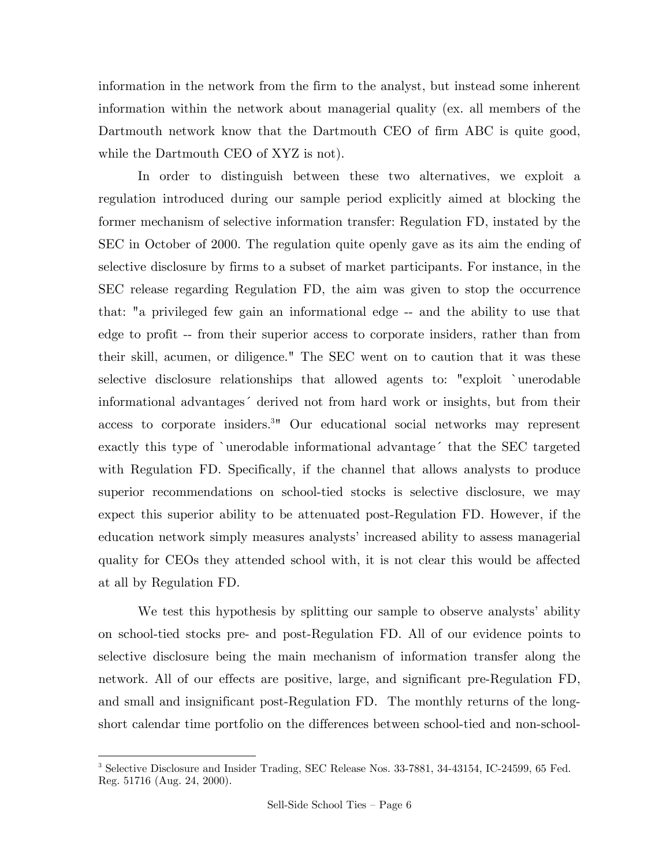information in the network from the firm to the analyst, but instead some inherent information within the network about managerial quality (ex. all members of the Dartmouth network know that the Dartmouth CEO of firm ABC is quite good, while the Dartmouth CEO of XYZ is not).

 In order to distinguish between these two alternatives, we exploit a regulation introduced during our sample period explicitly aimed at blocking the former mechanism of selective information transfer: Regulation FD, instated by the SEC in October of 2000. The regulation quite openly gave as its aim the ending of selective disclosure by firms to a subset of market participants. For instance, in the SEC release regarding Regulation FD, the aim was given to stop the occurrence that: "a privileged few gain an informational edge -- and the ability to use that edge to profit -- from their superior access to corporate insiders, rather than from their skill, acumen, or diligence." The SEC went on to caution that it was these selective disclosure relationships that allowed agents to: "exploit `unerodable informational advantages´ derived not from hard work or insights, but from their access to corporate insiders.<sup>3</sup><sup>*n*</sup> Our educational social networks may represent exactly this type of `unerodable informational advantage´ that the SEC targeted with Regulation FD. Specifically, if the channel that allows analysts to produce superior recommendations on school-tied stocks is selective disclosure, we may expect this superior ability to be attenuated post-Regulation FD. However, if the education network simply measures analysts' increased ability to assess managerial quality for CEOs they attended school with, it is not clear this would be affected at all by Regulation FD.

 We test this hypothesis by splitting our sample to observe analysts' ability on school-tied stocks pre- and post-Regulation FD. All of our evidence points to selective disclosure being the main mechanism of information transfer along the network. All of our effects are positive, large, and significant pre-Regulation FD, and small and insignificant post-Regulation FD. The monthly returns of the longshort calendar time portfolio on the differences between school-tied and non-school-

 3 Selective Disclosure and Insider Trading, SEC Release Nos. 33-7881, 34-43154, IC-24599, 65 Fed. Reg. 51716 (Aug. 24, 2000).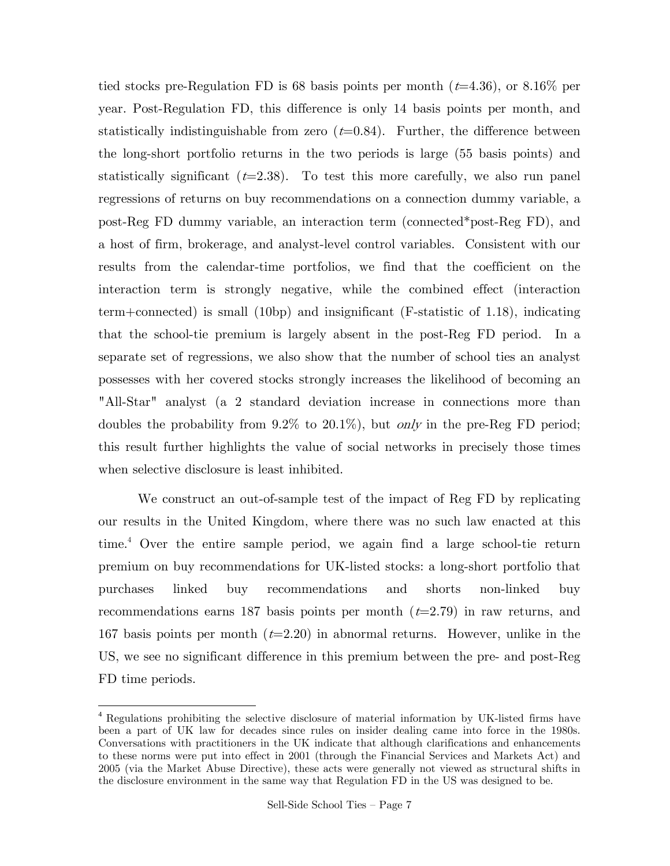tied stocks pre-Regulation FD is 68 basis points per month  $(t=4.36)$ , or 8.16% per year. Post-Regulation FD, this difference is only 14 basis points per month, and statistically indistinguishable from zero  $(t=0.84)$ . Further, the difference between the long-short portfolio returns in the two periods is large (55 basis points) and statistically significant  $(t=2.38)$ . To test this more carefully, we also run panel regressions of returns on buy recommendations on a connection dummy variable, a post-Reg FD dummy variable, an interaction term (connected\*post-Reg FD), and a host of firm, brokerage, and analyst-level control variables. Consistent with our results from the calendar-time portfolios, we find that the coefficient on the interaction term is strongly negative, while the combined effect (interaction term+connected) is small (10bp) and insignificant (F-statistic of 1.18), indicating that the school-tie premium is largely absent in the post-Reg FD period. In a separate set of regressions, we also show that the number of school ties an analyst possesses with her covered stocks strongly increases the likelihood of becoming an "All-Star" analyst (a 2 standard deviation increase in connections more than doubles the probability from  $9.2\%$  to  $20.1\%$ ), but *only* in the pre-Reg FD period; this result further highlights the value of social networks in precisely those times when selective disclosure is least inhibited.

 We construct an out-of-sample test of the impact of Reg FD by replicating our results in the United Kingdom, where there was no such law enacted at this time.4 Over the entire sample period, we again find a large school-tie return premium on buy recommendations for UK-listed stocks: a long-short portfolio that purchases linked buy recommendations and shorts non-linked buy recommendations earns 187 basis points per month  $(t=2.79)$  in raw returns, and 167 basis points per month  $(t=2.20)$  in abnormal returns. However, unlike in the US, we see no significant difference in this premium between the pre- and post-Reg FD time periods.

1

<sup>4</sup> Regulations prohibiting the selective disclosure of material information by UK-listed firms have been a part of UK law for decades since rules on insider dealing came into force in the 1980s. Conversations with practitioners in the UK indicate that although clarifications and enhancements to these norms were put into effect in 2001 (through the Financial Services and Markets Act) and 2005 (via the Market Abuse Directive), these acts were generally not viewed as structural shifts in the disclosure environment in the same way that Regulation FD in the US was designed to be.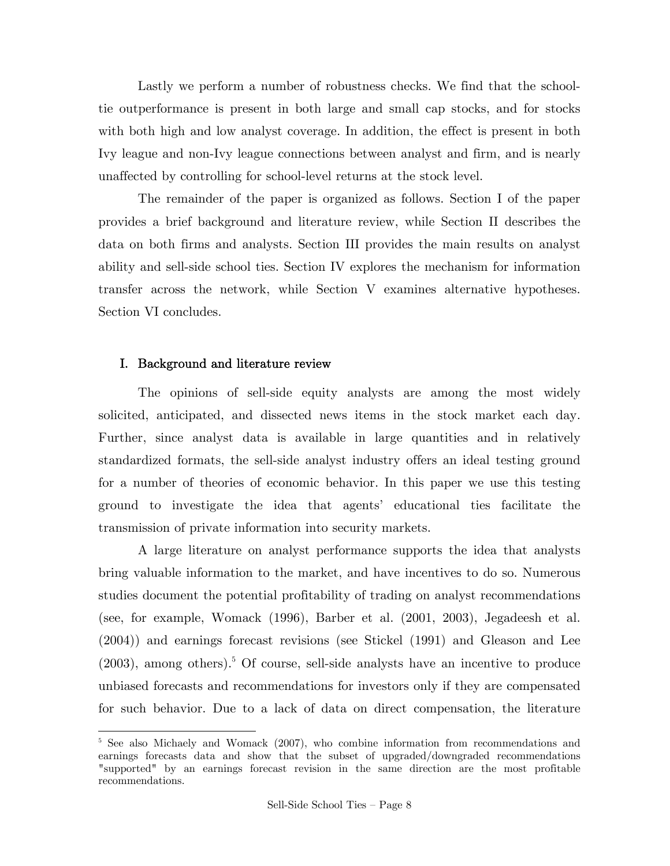Lastly we perform a number of robustness checks. We find that the schooltie outperformance is present in both large and small cap stocks, and for stocks with both high and low analyst coverage. In addition, the effect is present in both Ivy league and non-Ivy league connections between analyst and firm, and is nearly unaffected by controlling for school-level returns at the stock level.

 The remainder of the paper is organized as follows. Section I of the paper provides a brief background and literature review, while Section II describes the data on both firms and analysts. Section III provides the main results on analyst ability and sell-side school ties. Section IV explores the mechanism for information transfer across the network, while Section V examines alternative hypotheses. Section VI concludes.

### I. Background and literature review

1

The opinions of sell-side equity analysts are among the most widely solicited, anticipated, and dissected news items in the stock market each day. Further, since analyst data is available in large quantities and in relatively standardized formats, the sell-side analyst industry offers an ideal testing ground for a number of theories of economic behavior. In this paper we use this testing ground to investigate the idea that agents' educational ties facilitate the transmission of private information into security markets.

A large literature on analyst performance supports the idea that analysts bring valuable information to the market, and have incentives to do so. Numerous studies document the potential profitability of trading on analyst recommendations (see, for example, Womack (1996), Barber et al. (2001, 2003), Jegadeesh et al. (2004)) and earnings forecast revisions (see Stickel (1991) and Gleason and Lee  $(2003)$ , among others).<sup>5</sup> Of course, sell-side analysts have an incentive to produce unbiased forecasts and recommendations for investors only if they are compensated for such behavior. Due to a lack of data on direct compensation, the literature

<sup>&</sup>lt;sup>5</sup> See also Michaely and Womack (2007), who combine information from recommendations and earnings forecasts data and show that the subset of upgraded/downgraded recommendations "supported" by an earnings forecast revision in the same direction are the most profitable recommendations.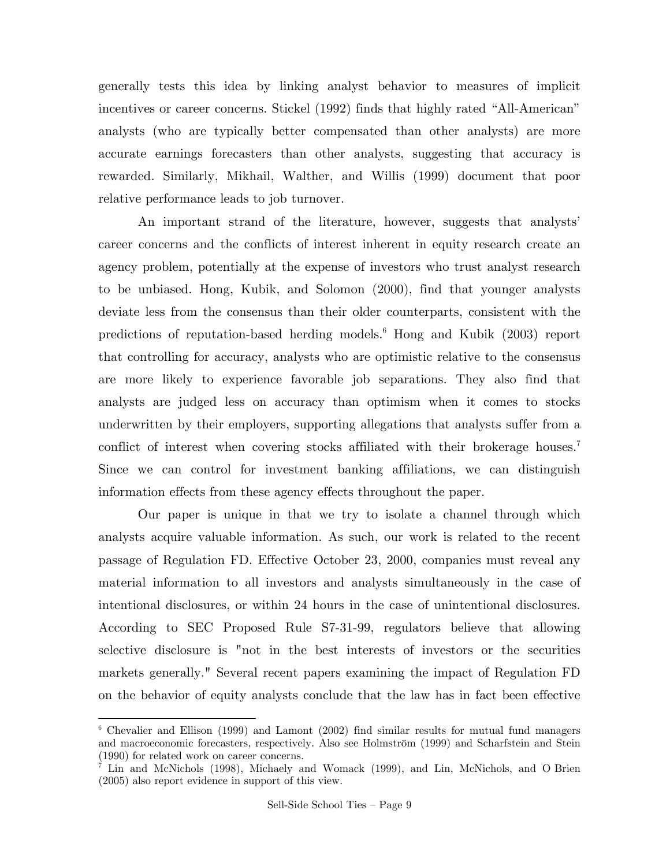generally tests this idea by linking analyst behavior to measures of implicit incentives or career concerns. Stickel (1992) finds that highly rated "All-American" analysts (who are typically better compensated than other analysts) are more accurate earnings forecasters than other analysts, suggesting that accuracy is rewarded. Similarly, Mikhail, Walther, and Willis (1999) document that poor relative performance leads to job turnover.

An important strand of the literature, however, suggests that analysts' career concerns and the conflicts of interest inherent in equity research create an agency problem, potentially at the expense of investors who trust analyst research to be unbiased. Hong, Kubik, and Solomon (2000), find that younger analysts deviate less from the consensus than their older counterparts, consistent with the predictions of reputation-based herding models.<sup>6</sup> Hong and Kubik (2003) report that controlling for accuracy, analysts who are optimistic relative to the consensus are more likely to experience favorable job separations. They also find that analysts are judged less on accuracy than optimism when it comes to stocks underwritten by their employers, supporting allegations that analysts suffer from a conflict of interest when covering stocks affiliated with their brokerage houses.<sup>7</sup> Since we can control for investment banking affiliations, we can distinguish information effects from these agency effects throughout the paper.

Our paper is unique in that we try to isolate a channel through which analysts acquire valuable information. As such, our work is related to the recent passage of Regulation FD. Effective October 23, 2000, companies must reveal any material information to all investors and analysts simultaneously in the case of intentional disclosures, or within 24 hours in the case of unintentional disclosures. According to SEC Proposed Rule S7-31-99, regulators believe that allowing selective disclosure is "not in the best interests of investors or the securities markets generally." Several recent papers examining the impact of Regulation FD on the behavior of equity analysts conclude that the law has in fact been effective

 6 Chevalier and Ellison (1999) and Lamont (2002) find similar results for mutual fund managers and macroeconomic forecasters, respectively. Also see Holmström (1999) and Scharfstein and Stein (1990) for related work on career concerns.

<sup>&</sup>lt;sup>7</sup> Lin and McNichols (1998), Michaely and Womack (1999), and Lin, McNichols, and O Brien (2005) also report evidence in support of this view.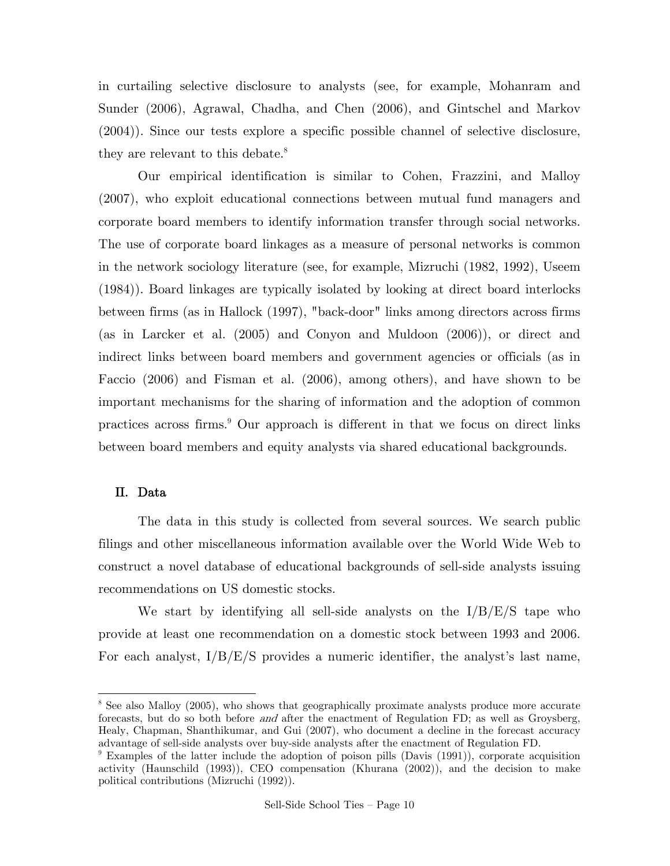in curtailing selective disclosure to analysts (see, for example, Mohanram and Sunder (2006), Agrawal, Chadha, and Chen (2006), and Gintschel and Markov (2004)). Since our tests explore a specific possible channel of selective disclosure, they are relevant to this debate.<sup>8</sup>

Our empirical identification is similar to Cohen, Frazzini, and Malloy (2007), who exploit educational connections between mutual fund managers and corporate board members to identify information transfer through social networks. The use of corporate board linkages as a measure of personal networks is common in the network sociology literature (see, for example, Mizruchi (1982, 1992), Useem (1984)). Board linkages are typically isolated by looking at direct board interlocks between firms (as in Hallock (1997), "back-door" links among directors across firms (as in Larcker et al. (2005) and Conyon and Muldoon (2006)), or direct and indirect links between board members and government agencies or officials (as in Faccio (2006) and Fisman et al. (2006), among others), and have shown to be important mechanisms for the sharing of information and the adoption of common practices across firms.<sup>9</sup> Our approach is different in that we focus on direct links between board members and equity analysts via shared educational backgrounds.

### II. Data

-

 The data in this study is collected from several sources. We search public filings and other miscellaneous information available over the World Wide Web to construct a novel database of educational backgrounds of sell-side analysts issuing recommendations on US domestic stocks.

We start by identifying all sell-side analysts on the  $I/B/E/S$  tape who provide at least one recommendation on a domestic stock between 1993 and 2006. For each analyst,  $I/B/E/S$  provides a numeric identifier, the analyst's last name,

<sup>&</sup>lt;sup>8</sup> See also Malloy (2005), who shows that geographically proximate analysts produce more accurate forecasts, but do so both before and after the enactment of Regulation FD; as well as Groysberg, Healy, Chapman, Shanthikumar, and Gui (2007), who document a decline in the forecast accuracy advantage of sell-side analysts over buy-side analysts after the enactment of Regulation FD.

<sup>&</sup>lt;sup>9</sup> Examples of the latter include the adoption of poison pills (Davis (1991)), corporate acquisition activity (Haunschild (1993)), CEO compensation (Khurana (2002)), and the decision to make political contributions (Mizruchi (1992)).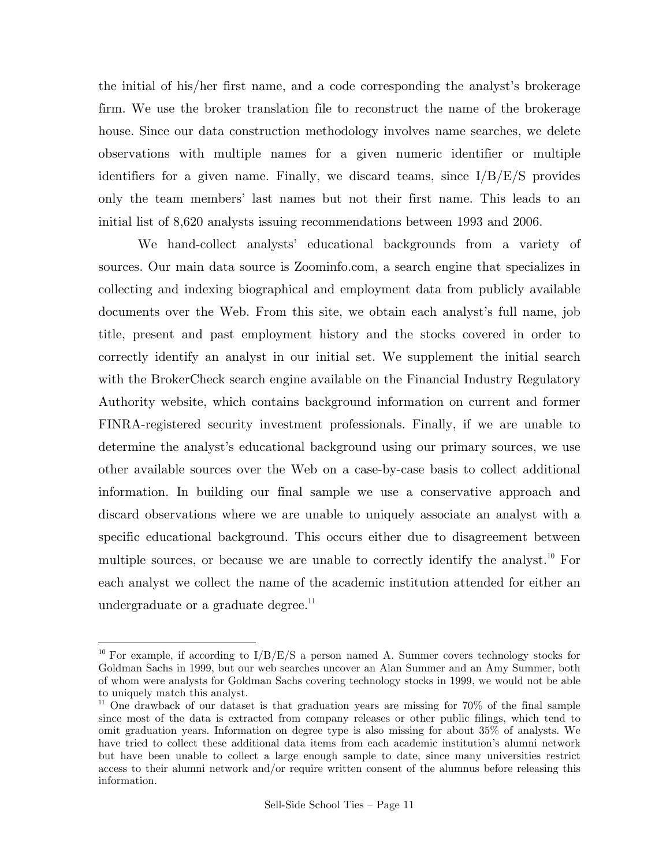the initial of his/her first name, and a code corresponding the analyst's brokerage firm. We use the broker translation file to reconstruct the name of the brokerage house. Since our data construction methodology involves name searches, we delete observations with multiple names for a given numeric identifier or multiple identifiers for a given name. Finally, we discard teams, since  $I/B/E/S$  provides only the team members' last names but not their first name. This leads to an initial list of 8,620 analysts issuing recommendations between 1993 and 2006.

 We hand-collect analysts' educational backgrounds from a variety of sources. Our main data source is Zoominfo.com, a search engine that specializes in collecting and indexing biographical and employment data from publicly available documents over the Web. From this site, we obtain each analyst's full name, job title, present and past employment history and the stocks covered in order to correctly identify an analyst in our initial set. We supplement the initial search with the BrokerCheck search engine available on the Financial Industry Regulatory Authority website, which contains background information on current and former FINRA-registered security investment professionals. Finally, if we are unable to determine the analyst's educational background using our primary sources, we use other available sources over the Web on a case-by-case basis to collect additional information. In building our final sample we use a conservative approach and discard observations where we are unable to uniquely associate an analyst with a specific educational background. This occurs either due to disagreement between multiple sources, or because we are unable to correctly identify the analyst.<sup>10</sup> For each analyst we collect the name of the academic institution attended for either an undergraduate or a graduate degree. $^{11}$ 

1

<sup>&</sup>lt;sup>10</sup> For example, if according to  $I/B/E/S$  a person named A. Summer covers technology stocks for Goldman Sachs in 1999, but our web searches uncover an Alan Summer and an Amy Summer, both of whom were analysts for Goldman Sachs covering technology stocks in 1999, we would not be able to uniquely match this analyst.

<sup>&</sup>lt;sup>11</sup> One drawback of our dataset is that graduation years are missing for 70% of the final sample since most of the data is extracted from company releases or other public filings, which tend to omit graduation years. Information on degree type is also missing for about 35% of analysts. We have tried to collect these additional data items from each academic institution's alumni network but have been unable to collect a large enough sample to date, since many universities restrict access to their alumni network and/or require written consent of the alumnus before releasing this information.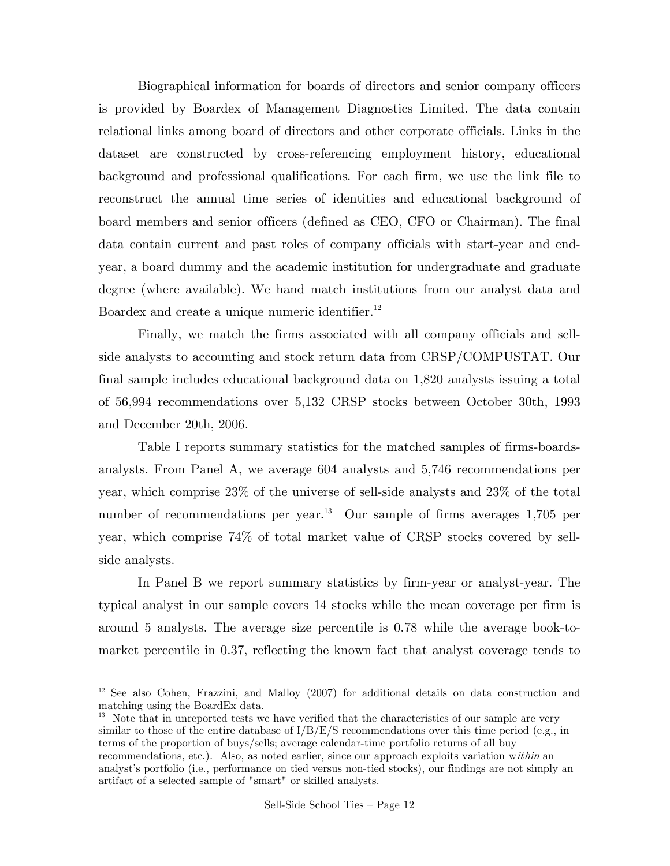Biographical information for boards of directors and senior company officers is provided by Boardex of Management Diagnostics Limited. The data contain relational links among board of directors and other corporate officials. Links in the dataset are constructed by cross-referencing employment history, educational background and professional qualifications. For each firm, we use the link file to reconstruct the annual time series of identities and educational background of board members and senior officers (defined as CEO, CFO or Chairman). The final data contain current and past roles of company officials with start-year and endyear, a board dummy and the academic institution for undergraduate and graduate degree (where available). We hand match institutions from our analyst data and Boardex and create a unique numeric identifier. $^{12}$ 

 Finally, we match the firms associated with all company officials and sellside analysts to accounting and stock return data from CRSP/COMPUSTAT. Our final sample includes educational background data on 1,820 analysts issuing a total of 56,994 recommendations over 5,132 CRSP stocks between October 30th, 1993 and December 20th, 2006.

 Table I reports summary statistics for the matched samples of firms-boardsanalysts. From Panel A, we average 604 analysts and 5,746 recommendations per year, which comprise 23% of the universe of sell-side analysts and 23% of the total number of recommendations per year.<sup>13</sup> Our sample of firms averages  $1,705$  per year, which comprise 74% of total market value of CRSP stocks covered by sellside analysts.

 In Panel B we report summary statistics by firm-year or analyst-year. The typical analyst in our sample covers 14 stocks while the mean coverage per firm is around 5 analysts. The average size percentile is 0.78 while the average book-tomarket percentile in 0.37, reflecting the known fact that analyst coverage tends to

1

<sup>13</sup> Note that in unreported tests we have verified that the characteristics of our sample are very similar to those of the entire database of  $I/B/E/S$  recommendations over this time period (e.g., in terms of the proportion of buys/sells; average calendar-time portfolio returns of all buy recommendations, etc.). Also, as noted earlier, since our approach exploits variation within an analyst's portfolio (i.e., performance on tied versus non-tied stocks), our findings are not simply an artifact of a selected sample of "smart" or skilled analysts.

<sup>&</sup>lt;sup>12</sup> See also Cohen, Frazzini, and Malloy (2007) for additional details on data construction and matching using the BoardEx data.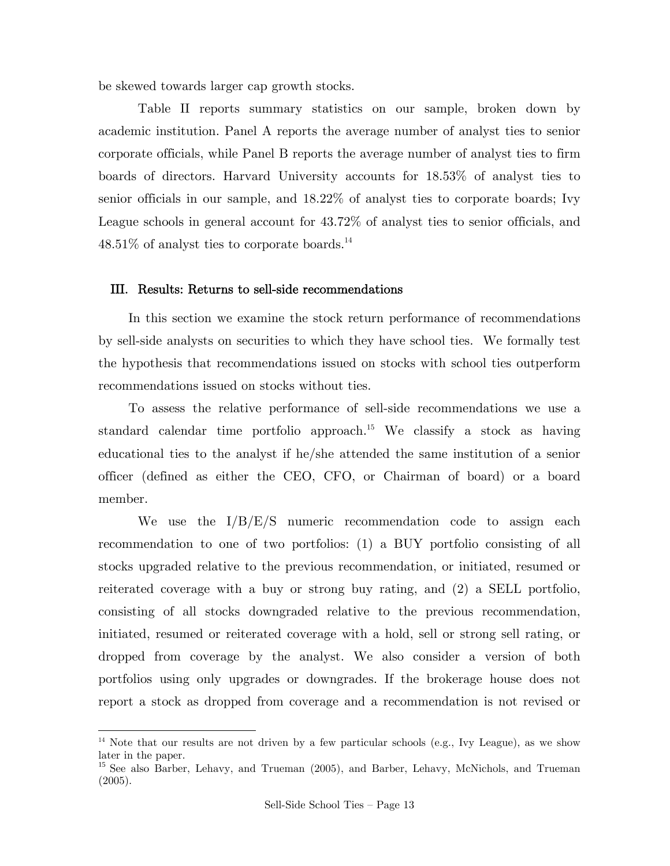be skewed towards larger cap growth stocks.

 Table II reports summary statistics on our sample, broken down by academic institution. Panel A reports the average number of analyst ties to senior corporate officials, while Panel B reports the average number of analyst ties to firm boards of directors. Harvard University accounts for 18.53% of analyst ties to senior officials in our sample, and 18.22% of analyst ties to corporate boards; Ivy League schools in general account for 43.72% of analyst ties to senior officials, and  $48.51\%$  of analyst ties to corporate boards.<sup>14</sup>

#### III. Results: Returns to sell-side recommendations

In this section we examine the stock return performance of recommendations by sell-side analysts on securities to which they have school ties. We formally test the hypothesis that recommendations issued on stocks with school ties outperform recommendations issued on stocks without ties.

To assess the relative performance of sell-side recommendations we use a standard calendar time portfolio approach.<sup>15</sup> We classify a stock as having educational ties to the analyst if he/she attended the same institution of a senior officer (defined as either the CEO, CFO, or Chairman of board) or a board member.

We use the  $I/B/E/S$  numeric recommendation code to assign each recommendation to one of two portfolios: (1) a BUY portfolio consisting of all stocks upgraded relative to the previous recommendation, or initiated, resumed or reiterated coverage with a buy or strong buy rating, and (2) a SELL portfolio, consisting of all stocks downgraded relative to the previous recommendation, initiated, resumed or reiterated coverage with a hold, sell or strong sell rating, or dropped from coverage by the analyst. We also consider a version of both portfolios using only upgrades or downgrades. If the brokerage house does not report a stock as dropped from coverage and a recommendation is not revised or

 $\overline{\phantom{a}}$ 

<sup>&</sup>lt;sup>14</sup> Note that our results are not driven by a few particular schools (e.g., Ivy League), as we show later in the paper.

<sup>&</sup>lt;sup>15</sup> See also Barber, Lehavy, and Trueman (2005), and Barber, Lehavy, McNichols, and Trueman (2005).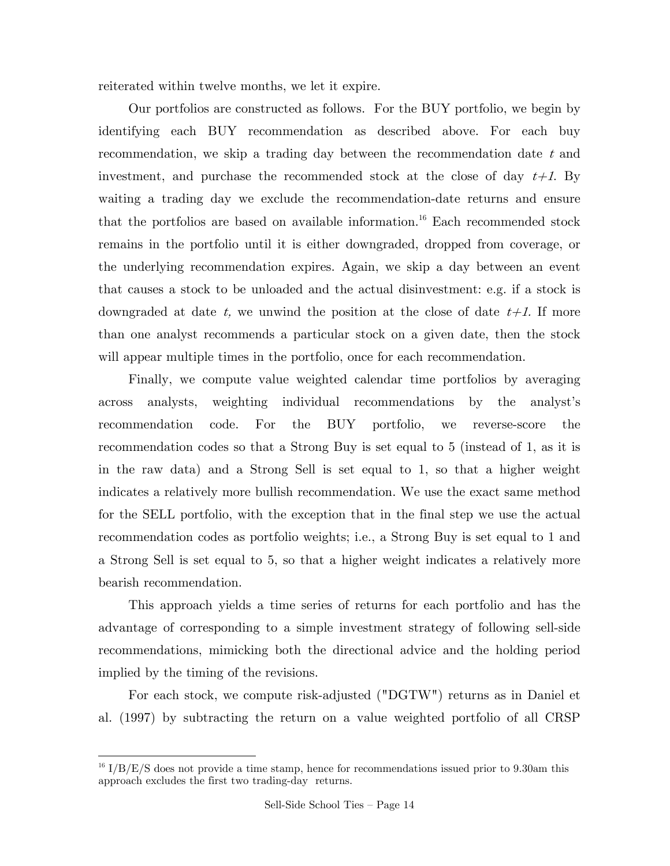reiterated within twelve months, we let it expire.

Our portfolios are constructed as follows. For the BUY portfolio, we begin by identifying each BUY recommendation as described above. For each buy recommendation, we skip a trading day between the recommendation date  $t$  and investment, and purchase the recommended stock at the close of day  $t+1$ . By waiting a trading day we exclude the recommendation-date returns and ensure that the portfolios are based on available information.<sup>16</sup> Each recommended stock remains in the portfolio until it is either downgraded, dropped from coverage, or the underlying recommendation expires. Again, we skip a day between an event that causes a stock to be unloaded and the actual disinvestment: e.g. if a stock is downgraded at date t, we unwind the position at the close of date  $t+1$ . If more than one analyst recommends a particular stock on a given date, then the stock will appear multiple times in the portfolio, once for each recommendation.

Finally, we compute value weighted calendar time portfolios by averaging across analysts, weighting individual recommendations by the analyst's recommendation code. For the BUY portfolio, we reverse-score the recommendation codes so that a Strong Buy is set equal to 5 (instead of 1, as it is in the raw data) and a Strong Sell is set equal to 1, so that a higher weight indicates a relatively more bullish recommendation. We use the exact same method for the SELL portfolio, with the exception that in the final step we use the actual recommendation codes as portfolio weights; i.e., a Strong Buy is set equal to 1 and a Strong Sell is set equal to 5, so that a higher weight indicates a relatively more bearish recommendation.

This approach yields a time series of returns for each portfolio and has the advantage of corresponding to a simple investment strategy of following sell-side recommendations, mimicking both the directional advice and the holding period implied by the timing of the revisions.

For each stock, we compute risk-adjusted ("DGTW") returns as in Daniel et al. (1997) by subtracting the return on a value weighted portfolio of all CRSP

 $\overline{\phantom{a}}$ 

 $16$  I/B/E/S does not provide a time stamp, hence for recommendations issued prior to 9.30am this approach excludes the first two trading-day' returns.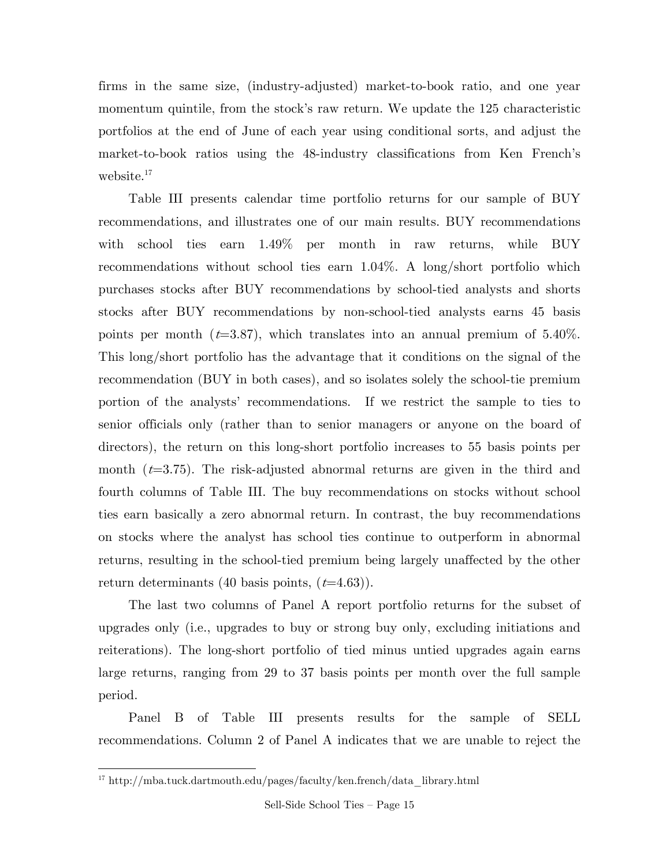firms in the same size, (industry-adjusted) market-to-book ratio, and one year momentum quintile, from the stock's raw return. We update the 125 characteristic portfolios at the end of June of each year using conditional sorts, and adjust the market-to-book ratios using the 48-industry classifications from Ken French's website.<sup>17</sup>

Table III presents calendar time portfolio returns for our sample of BUY recommendations, and illustrates one of our main results. BUY recommendations with school ties earn 1.49% per month in raw returns, while BUY recommendations without school ties earn 1.04%. A long/short portfolio which purchases stocks after BUY recommendations by school-tied analysts and shorts stocks after BUY recommendations by non-school-tied analysts earns 45 basis points per month ( $t=3.87$ ), which translates into an annual premium of 5.40%. This long/short portfolio has the advantage that it conditions on the signal of the recommendation (BUY in both cases), and so isolates solely the school-tie premium portion of the analysts' recommendations. If we restrict the sample to ties to senior officials only (rather than to senior managers or anyone on the board of directors), the return on this long-short portfolio increases to 55 basis points per month  $(t=3.75)$ . The risk-adjusted abnormal returns are given in the third and fourth columns of Table III. The buy recommendations on stocks without school ties earn basically a zero abnormal return. In contrast, the buy recommendations on stocks where the analyst has school ties continue to outperform in abnormal returns, resulting in the school-tied premium being largely unaffected by the other return determinants (40 basis points,  $(t=4.63)$ ).

The last two columns of Panel A report portfolio returns for the subset of upgrades only (i.e., upgrades to buy or strong buy only, excluding initiations and reiterations). The long-short portfolio of tied minus untied upgrades again earns large returns, ranging from 29 to 37 basis points per month over the full sample period.

Panel B of Table III presents results for the sample of SELL recommendations. Column 2 of Panel A indicates that we are unable to reject the

 $\overline{\phantom{a}}$ 

 $^{17}$ http://mba.tuck.dartmouth.edu/pages/faculty/ken.french/data\_library.html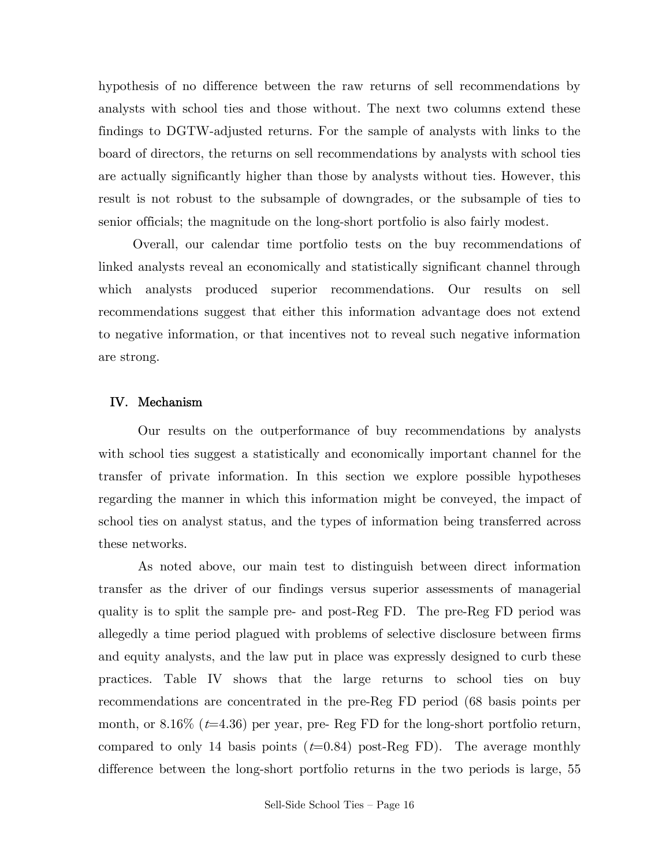hypothesis of no difference between the raw returns of sell recommendations by analysts with school ties and those without. The next two columns extend these findings to DGTW-adjusted returns. For the sample of analysts with links to the board of directors, the returns on sell recommendations by analysts with school ties are actually significantly higher than those by analysts without ties. However, this result is not robust to the subsample of downgrades, or the subsample of ties to senior officials; the magnitude on the long-short portfolio is also fairly modest.

 Overall, our calendar time portfolio tests on the buy recommendations of linked analysts reveal an economically and statistically significant channel through which analysts produced superior recommendations. Our results on sell recommendations suggest that either this information advantage does not extend to negative information, or that incentives not to reveal such negative information are strong.

### IV. Mechanism

 Our results on the outperformance of buy recommendations by analysts with school ties suggest a statistically and economically important channel for the transfer of private information. In this section we explore possible hypotheses regarding the manner in which this information might be conveyed, the impact of school ties on analyst status, and the types of information being transferred across these networks.

 As noted above, our main test to distinguish between direct information transfer as the driver of our findings versus superior assessments of managerial quality is to split the sample pre- and post-Reg FD. The pre-Reg FD period was allegedly a time period plagued with problems of selective disclosure between firms and equity analysts, and the law put in place was expressly designed to curb these practices. Table IV shows that the large returns to school ties on buy recommendations are concentrated in the pre-Reg FD period (68 basis points per month, or  $8.16\%$  ( $t=4.36$ ) per year, pre-Reg FD for the long-short portfolio return, compared to only 14 basis points  $(t=0.84)$  post-Reg FD). The average monthly difference between the long-short portfolio returns in the two periods is large, 55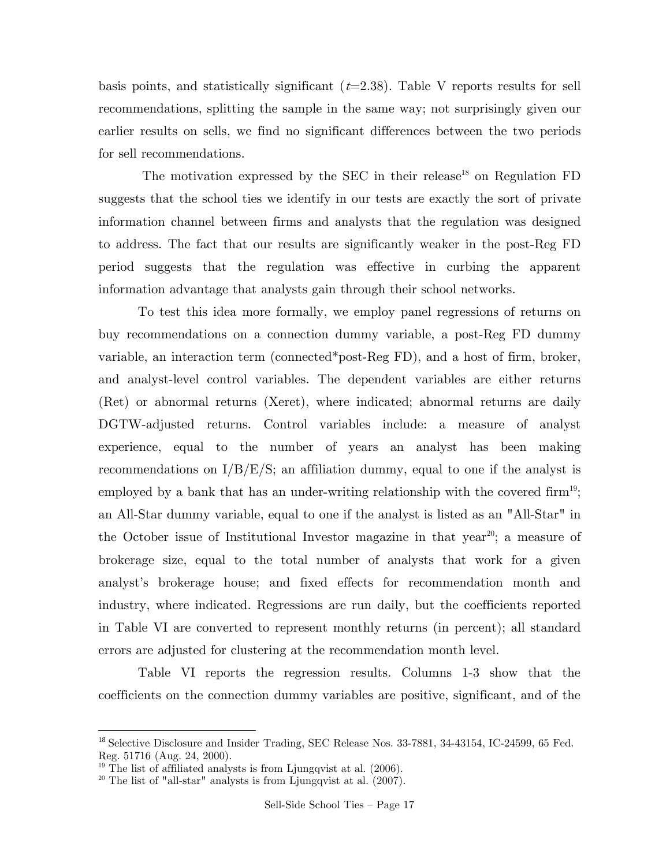basis points, and statistically significant  $(t=2.38)$ . Table V reports results for sell recommendations, splitting the sample in the same way; not surprisingly given our earlier results on sells, we find no significant differences between the two periods for sell recommendations.

The motivation expressed by the SEC in their release<sup>18</sup> on Regulation FD suggests that the school ties we identify in our tests are exactly the sort of private information channel between firms and analysts that the regulation was designed to address. The fact that our results are significantly weaker in the post-Reg FD period suggests that the regulation was effective in curbing the apparent information advantage that analysts gain through their school networks.

 To test this idea more formally, we employ panel regressions of returns on buy recommendations on a connection dummy variable, a post-Reg FD dummy variable, an interaction term (connected\*post-Reg FD), and a host of firm, broker, and analyst-level control variables. The dependent variables are either returns (Ret) or abnormal returns (Xeret), where indicated; abnormal returns are daily DGTW-adjusted returns. Control variables include: a measure of analyst experience, equal to the number of years an analyst has been making recommendations on  $I/B/E/S$ ; an affiliation dummy, equal to one if the analyst is employed by a bank that has an under-writing relationship with the covered firm<sup>19</sup>; an All-Star dummy variable, equal to one if the analyst is listed as an "All-Star" in the October issue of Institutional Investor magazine in that year<sup>20</sup>; a measure of brokerage size, equal to the total number of analysts that work for a given analyst's brokerage house; and fixed effects for recommendation month and industry, where indicated. Regressions are run daily, but the coefficients reported in Table VI are converted to represent monthly returns (in percent); all standard errors are adjusted for clustering at the recommendation month level.

 Table VI reports the regression results. Columns 1-3 show that the coefficients on the connection dummy variables are positive, significant, and of the

1

<sup>&</sup>lt;sup>18</sup> Selective Disclosure and Insider Trading, SEC Release Nos. 33-7881, 34-43154, IC-24599, 65 Fed. Reg. 51716 (Aug. 24, 2000).

 $19$  The list of affiliated analysts is from Ljungqvist at al. (2006).

<sup>&</sup>lt;sup>20</sup> The list of "all-star" analysts is from Ljungqvist at al.  $(2007)$ .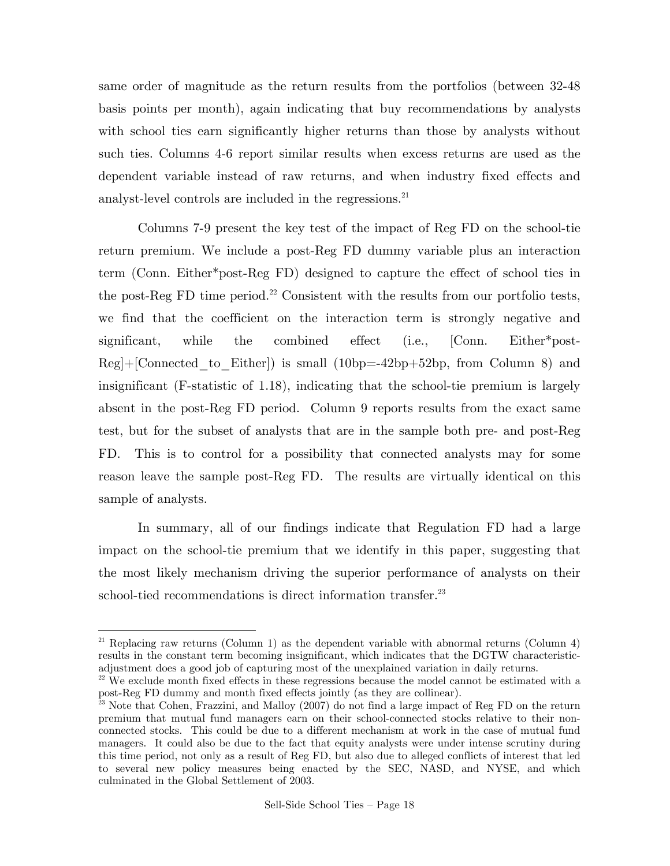same order of magnitude as the return results from the portfolios (between 32-48 basis points per month), again indicating that buy recommendations by analysts with school ties earn significantly higher returns than those by analysts without such ties. Columns 4-6 report similar results when excess returns are used as the dependent variable instead of raw returns, and when industry fixed effects and analyst-level controls are included in the regressions.<sup>21</sup>

 Columns 7-9 present the key test of the impact of Reg FD on the school-tie return premium. We include a post-Reg FD dummy variable plus an interaction term (Conn. Either\*post-Reg FD) designed to capture the effect of school ties in the post-Reg  $FD$  time period.<sup>22</sup> Consistent with the results from our portfolio tests, we find that the coefficient on the interaction term is strongly negative and significant, while the combined effect (i.e., [Conn. Either\*post- $Reg$  | [Connected to Either]) is small (10bp=-42bp+52bp, from Column 8) and insignificant (F-statistic of 1.18), indicating that the school-tie premium is largely absent in the post-Reg FD period. Column 9 reports results from the exact same test, but for the subset of analysts that are in the sample both pre- and post-Reg FD. This is to control for a possibility that connected analysts may for some reason leave the sample post-Reg FD. The results are virtually identical on this sample of analysts.

 In summary, all of our findings indicate that Regulation FD had a large impact on the school-tie premium that we identify in this paper, suggesting that the most likely mechanism driving the superior performance of analysts on their school-tied recommendations is direct information transfer.<sup>23</sup>

<u>.</u>

<sup>&</sup>lt;sup>21</sup> Replacing raw returns (Column 1) as the dependent variable with abnormal returns (Column 4) results in the constant term becoming insignificant, which indicates that the DGTW characteristicadjustment does a good job of capturing most of the unexplained variation in daily returns.

 $22$  We exclude month fixed effects in these regressions because the model cannot be estimated with a post-Reg FD dummy and month fixed effects jointly (as they are collinear).

 $\frac{p}{23}$  Note that Cohen, Frazzini, and Malloy (2007) do not find a large impact of Reg FD on the return premium that mutual fund managers earn on their school-connected stocks relative to their nonconnected stocks. This could be due to a different mechanism at work in the case of mutual fund managers. It could also be due to the fact that equity analysts were under intense scrutiny during this time period, not only as a result of Reg FD, but also due to alleged conflicts of interest that led to several new policy measures being enacted by the SEC, NASD, and NYSE, and which culminated in the Global Settlement of 2003.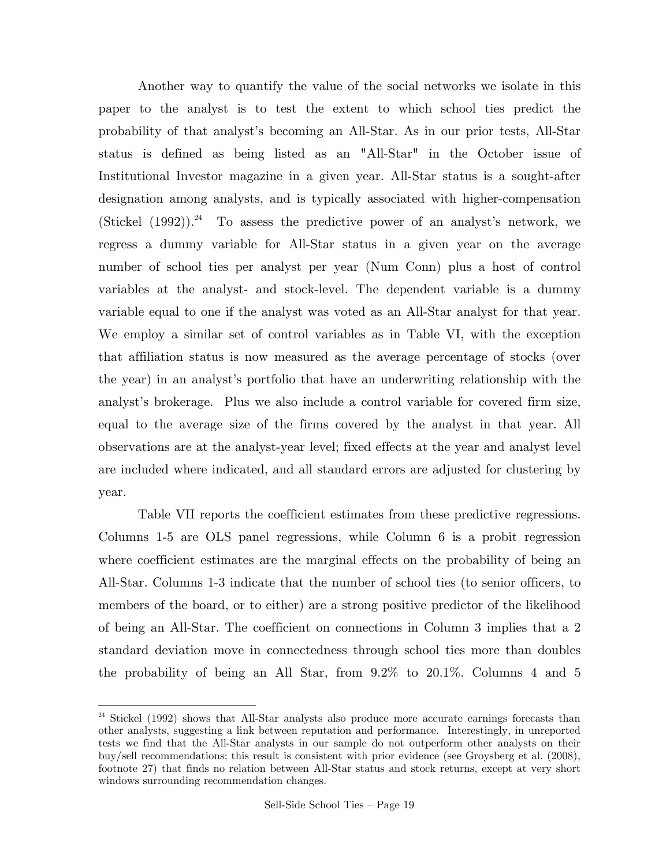Another way to quantify the value of the social networks we isolate in this paper to the analyst is to test the extent to which school ties predict the probability of that analyst's becoming an All-Star. As in our prior tests, All-Star status is defined as being listed as an "All-Star" in the October issue of Institutional Investor magazine in a given year. All-Star status is a sought-after designation among analysts, and is typically associated with higher-compensation (Stickel  $(1992)$ )<sup>24</sup> To assess the predictive power of an analyst's network, we regress a dummy variable for All-Star status in a given year on the average number of school ties per analyst per year (Num Conn) plus a host of control variables at the analyst- and stock-level. The dependent variable is a dummy variable equal to one if the analyst was voted as an All-Star analyst for that year. We employ a similar set of control variables as in Table VI, with the exception that affiliation status is now measured as the average percentage of stocks (over the year) in an analyst's portfolio that have an underwriting relationship with the analyst's brokerage. Plus we also include a control variable for covered firm size, equal to the average size of the firms covered by the analyst in that year. All observations are at the analyst-year level; fixed effects at the year and analyst level are included where indicated, and all standard errors are adjusted for clustering by year.

 Table VII reports the coefficient estimates from these predictive regressions. Columns 1-5 are OLS panel regressions, while Column 6 is a probit regression where coefficient estimates are the marginal effects on the probability of being an All-Star. Columns 1-3 indicate that the number of school ties (to senior officers, to members of the board, or to either) are a strong positive predictor of the likelihood of being an All-Star. The coefficient on connections in Column 3 implies that a 2 standard deviation move in connectedness through school ties more than doubles the probability of being an All Star, from 9.2% to 20.1%. Columns 4 and 5

1

<sup>&</sup>lt;sup>24</sup> Stickel (1992) shows that All-Star analysts also produce more accurate earnings forecasts than other analysts, suggesting a link between reputation and performance. Interestingly, in unreported tests we find that the All-Star analysts in our sample do not outperform other analysts on their buy/sell recommendations; this result is consistent with prior evidence (see Groysberg et al. (2008), footnote 27) that finds no relation between All-Star status and stock returns, except at very short windows surrounding recommendation changes.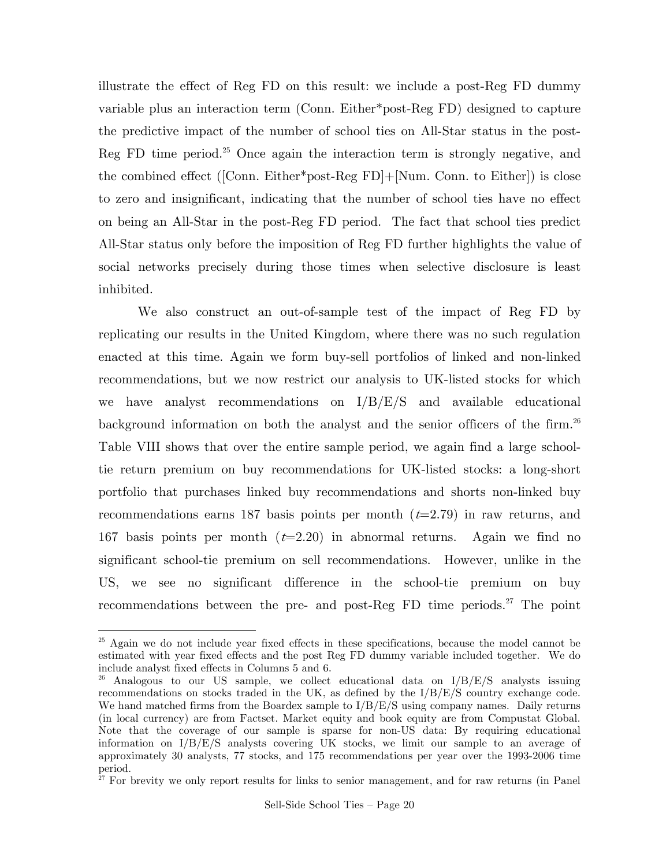illustrate the effect of Reg FD on this result: we include a post-Reg FD dummy variable plus an interaction term (Conn. Either\*post-Reg FD) designed to capture the predictive impact of the number of school ties on All-Star status in the post-Reg FD time period. $25$  Once again the interaction term is strongly negative, and the combined effect ([Conn. Either\*post-Reg FD]+[Num. Conn. to Either]) is close to zero and insignificant, indicating that the number of school ties have no effect on being an All-Star in the post-Reg FD period. The fact that school ties predict All-Star status only before the imposition of Reg FD further highlights the value of social networks precisely during those times when selective disclosure is least inhibited.

 We also construct an out-of-sample test of the impact of Reg FD by replicating our results in the United Kingdom, where there was no such regulation enacted at this time. Again we form buy-sell portfolios of linked and non-linked recommendations, but we now restrict our analysis to UK-listed stocks for which we have analyst recommendations on I/B/E/S and available educational background information on both the analyst and the senior officers of the firm.<sup>26</sup> Table VIII shows that over the entire sample period, we again find a large schooltie return premium on buy recommendations for UK-listed stocks: a long-short portfolio that purchases linked buy recommendations and shorts non-linked buy recommendations earns 187 basis points per month  $(t=2.79)$  in raw returns, and 167 basis points per month  $(t=2.20)$  in abnormal returns. Again we find no significant school-tie premium on sell recommendations. However, unlike in the US, we see no significant difference in the school-tie premium on buy recommendations between the pre- and post-Reg  $FD$  time periods.<sup>27</sup> The point

<u>.</u>

 $25$  Again we do not include year fixed effects in these specifications, because the model cannot be estimated with year fixed effects and the post Reg FD dummy variable included together. We do include analyst fixed effects in Columns 5 and 6.<br><sup>26</sup> Analogous to our US sample, we collect educational data on  $I/B/E/S$  analysts issuing

recommendations on stocks traded in the UK, as defined by the I/B/E/S country exchange code. We hand matched firms from the Boardex sample to  $I/B/E/S$  using company names. Daily returns (in local currency) are from Factset. Market equity and book equity are from Compustat Global. Note that the coverage of our sample is sparse for non-US data: By requiring educational information on I/B/E/S analysts covering UK stocks, we limit our sample to an average of approximately 30 analysts, 77 stocks, and 175 recommendations per year over the 1993-2006 time period.

 $27$  For brevity we only report results for links to senior management, and for raw returns (in Panel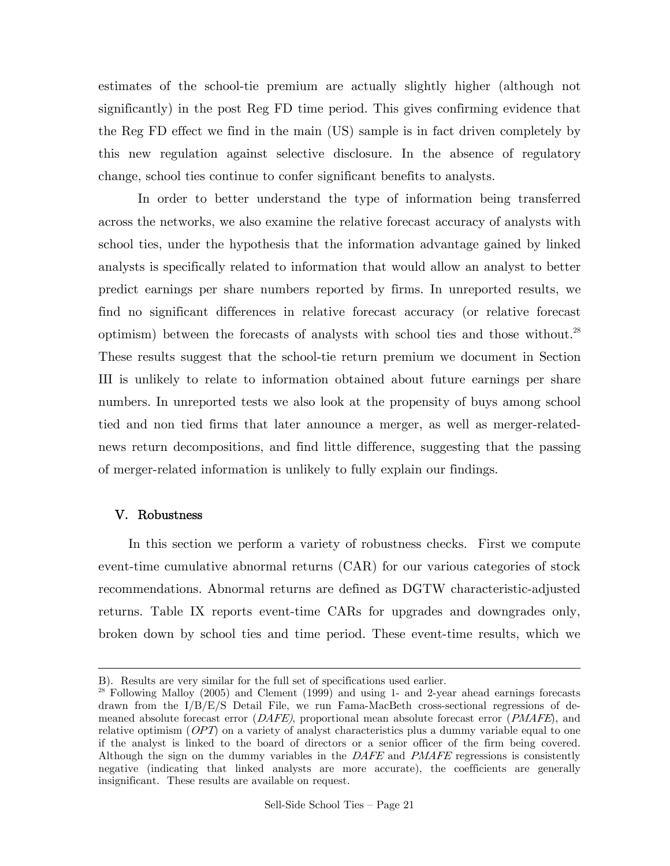estimates of the school-tie premium are actually slightly higher (although not significantly) in the post Reg FD time period. This gives confirming evidence that the Reg FD effect we find in the main (US) sample is in fact driven completely by this new regulation against selective disclosure. In the absence of regulatory change, school ties continue to confer significant benefits to analysts.

 In order to better understand the type of information being transferred across the networks, we also examine the relative forecast accuracy of analysts with school ties, under the hypothesis that the information advantage gained by linked analysts is specifically related to information that would allow an analyst to better predict earnings per share numbers reported by firms. In unreported results, we find no significant differences in relative forecast accuracy (or relative forecast optimism) between the forecasts of analysts with school ties and those without.<sup>28</sup> These results suggest that the school-tie return premium we document in Section III is unlikely to relate to information obtained about future earnings per share numbers. In unreported tests we also look at the propensity of buys among school tied and non tied firms that later announce a merger, as well as merger-relatednews return decompositions, and find little difference, suggesting that the passing of merger-related information is unlikely to fully explain our findings.

### V. Robustness

1

In this section we perform a variety of robustness checks. First we compute event-time cumulative abnormal returns (CAR) for our various categories of stock recommendations. Abnormal returns are defined as DGTW characteristic-adjusted returns. Table IX reports event-time CARs for upgrades and downgrades only, broken down by school ties and time period. These event-time results, which we

B). Results are very similar for the full set of specifications used earlier. 28 Following Malloy (2005) and Clement (1999) and using 1- and 2-year ahead earnings forecasts drawn from the I/B/E/S Detail File, we run Fama-MacBeth cross-sectional regressions of demeaned absolute forecast error  $(DAFE)$ , proportional mean absolute forecast error  $(PMAFE)$ , and relative optimism (*OPT*) on a variety of analyst characteristics plus a dummy variable equal to one if the analyst is linked to the board of directors or a senior officer of the firm being covered. Although the sign on the dummy variables in the DAFE and PMAFE regressions is consistently negative (indicating that linked analysts are more accurate), the coefficients are generally insignificant. These results are available on request.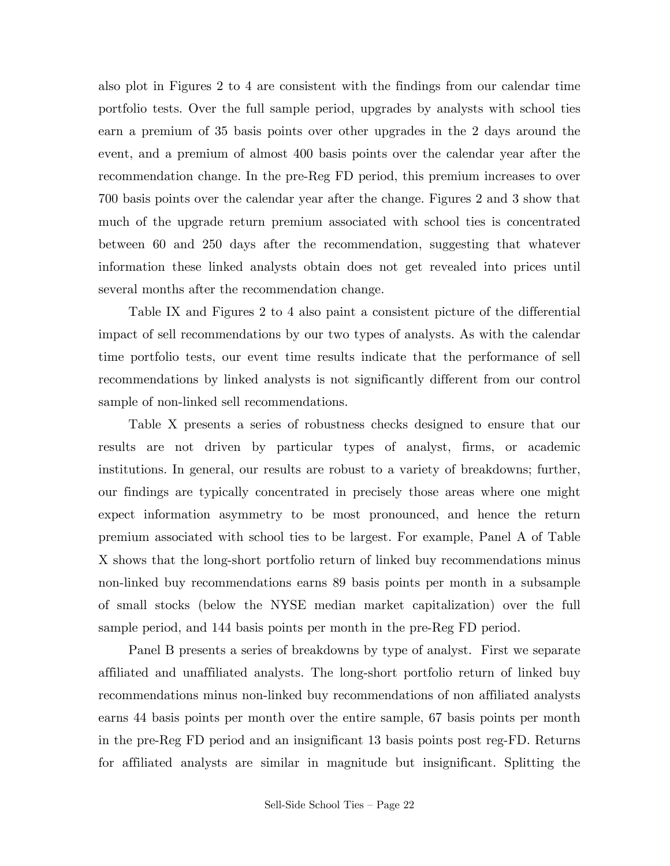also plot in Figures 2 to 4 are consistent with the findings from our calendar time portfolio tests. Over the full sample period, upgrades by analysts with school ties earn a premium of 35 basis points over other upgrades in the 2 days around the event, and a premium of almost 400 basis points over the calendar year after the recommendation change. In the pre-Reg FD period, this premium increases to over 700 basis points over the calendar year after the change. Figures 2 and 3 show that much of the upgrade return premium associated with school ties is concentrated between 60 and 250 days after the recommendation, suggesting that whatever information these linked analysts obtain does not get revealed into prices until several months after the recommendation change.

Table IX and Figures 2 to 4 also paint a consistent picture of the differential impact of sell recommendations by our two types of analysts. As with the calendar time portfolio tests, our event time results indicate that the performance of sell recommendations by linked analysts is not significantly different from our control sample of non-linked sell recommendations.

Table X presents a series of robustness checks designed to ensure that our results are not driven by particular types of analyst, firms, or academic institutions. In general, our results are robust to a variety of breakdowns; further, our findings are typically concentrated in precisely those areas where one might expect information asymmetry to be most pronounced, and hence the return premium associated with school ties to be largest. For example, Panel A of Table X shows that the long-short portfolio return of linked buy recommendations minus non-linked buy recommendations earns 89 basis points per month in a subsample of small stocks (below the NYSE median market capitalization) over the full sample period, and 144 basis points per month in the pre-Reg FD period.

Panel B presents a series of breakdowns by type of analyst. First we separate affiliated and unaffiliated analysts. The long-short portfolio return of linked buy recommendations minus non-linked buy recommendations of non affiliated analysts earns 44 basis points per month over the entire sample, 67 basis points per month in the pre-Reg FD period and an insignificant 13 basis points post reg-FD. Returns for affiliated analysts are similar in magnitude but insignificant. Splitting the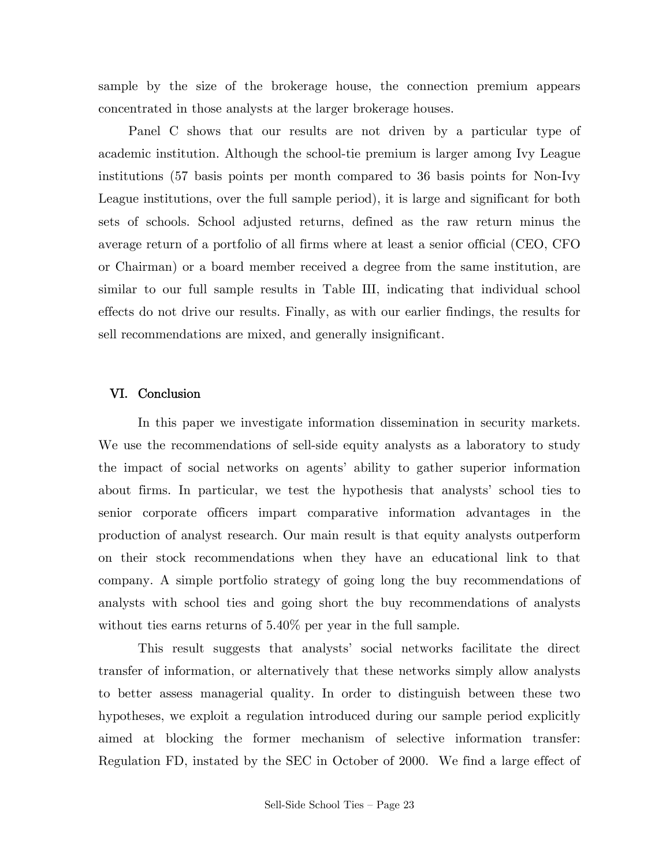sample by the size of the brokerage house, the connection premium appears concentrated in those analysts at the larger brokerage houses.

Panel C shows that our results are not driven by a particular type of academic institution. Although the school-tie premium is larger among Ivy League institutions (57 basis points per month compared to 36 basis points for Non-Ivy League institutions, over the full sample period), it is large and significant for both sets of schools. School adjusted returns, defined as the raw return minus the average return of a portfolio of all firms where at least a senior official (CEO, CFO or Chairman) or a board member received a degree from the same institution, are similar to our full sample results in Table III, indicating that individual school effects do not drive our results. Finally, as with our earlier findings, the results for sell recommendations are mixed, and generally insignificant.

## VI. Conclusion

 In this paper we investigate information dissemination in security markets. We use the recommendations of sell-side equity analysts as a laboratory to study the impact of social networks on agents' ability to gather superior information about firms. In particular, we test the hypothesis that analysts' school ties to senior corporate officers impart comparative information advantages in the production of analyst research. Our main result is that equity analysts outperform on their stock recommendations when they have an educational link to that company. A simple portfolio strategy of going long the buy recommendations of analysts with school ties and going short the buy recommendations of analysts without ties earns returns of  $5.40\%$  per year in the full sample.

 This result suggests that analysts' social networks facilitate the direct transfer of information, or alternatively that these networks simply allow analysts to better assess managerial quality. In order to distinguish between these two hypotheses, we exploit a regulation introduced during our sample period explicitly aimed at blocking the former mechanism of selective information transfer: Regulation FD, instated by the SEC in October of 2000. We find a large effect of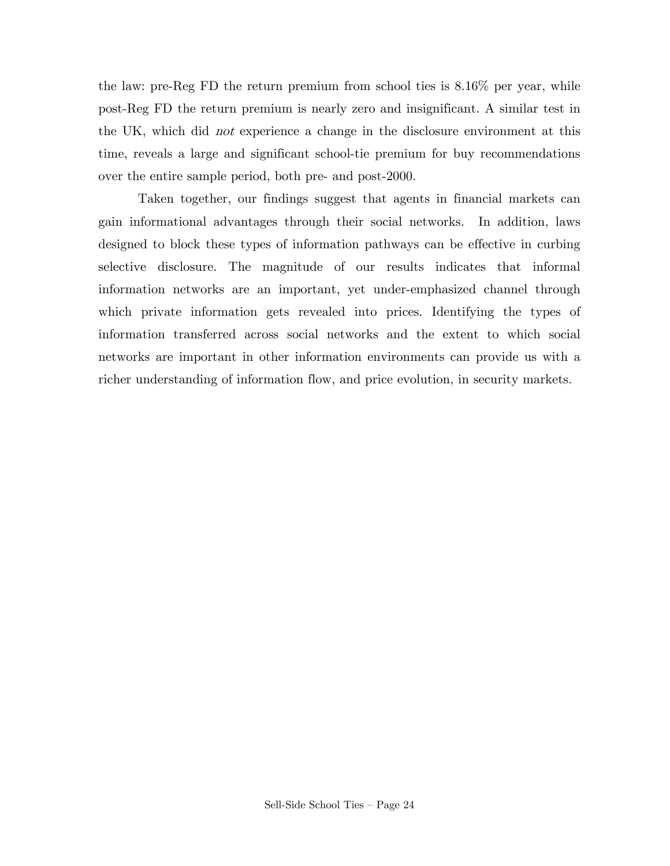the law: pre-Reg FD the return premium from school ties is 8.16% per year, while post-Reg FD the return premium is nearly zero and insignificant. A similar test in the UK, which did not experience a change in the disclosure environment at this time, reveals a large and significant school-tie premium for buy recommendations over the entire sample period, both pre- and post-2000.

 Taken together, our findings suggest that agents in financial markets can gain informational advantages through their social networks. In addition, laws designed to block these types of information pathways can be effective in curbing selective disclosure. The magnitude of our results indicates that informal information networks are an important, yet under-emphasized channel through which private information gets revealed into prices. Identifying the types of information transferred across social networks and the extent to which social networks are important in other information environments can provide us with a richer understanding of information flow, and price evolution, in security markets.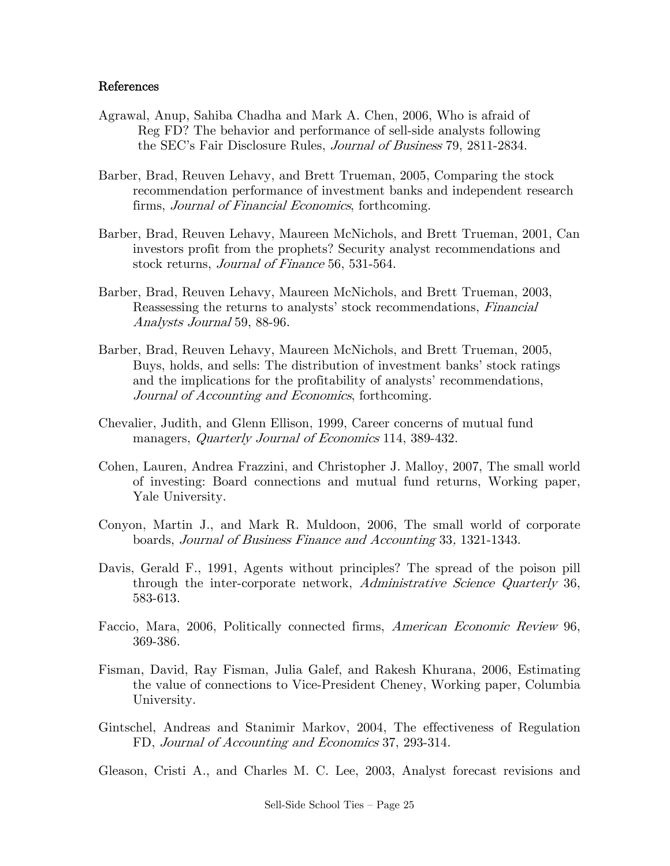### References

- Agrawal, Anup, Sahiba Chadha and Mark A. Chen, 2006, Who is afraid of Reg FD? The behavior and performance of sell-side analysts following the SEC's Fair Disclosure Rules, Journal of Business 79, 2811-2834.
- Barber, Brad, Reuven Lehavy, and Brett Trueman, 2005, Comparing the stock recommendation performance of investment banks and independent research firms, Journal of Financial Economics, forthcoming.
- Barber, Brad, Reuven Lehavy, Maureen McNichols, and Brett Trueman, 2001, Can investors profit from the prophets? Security analyst recommendations and stock returns, Journal of Finance 56, 531-564.
- Barber, Brad, Reuven Lehavy, Maureen McNichols, and Brett Trueman, 2003, Reassessing the returns to analysts' stock recommendations, Financial Analysts Journal 59, 88-96.
- Barber, Brad, Reuven Lehavy, Maureen McNichols, and Brett Trueman, 2005, Buys, holds, and sells: The distribution of investment banks' stock ratings and the implications for the profitability of analysts' recommendations, Journal of Accounting and Economics, forthcoming.
- Chevalier, Judith, and Glenn Ellison, 1999, Career concerns of mutual fund managers, *Quarterly Journal of Economics* 114, 389-432.
- Cohen, Lauren, Andrea Frazzini, and Christopher J. Malloy, 2007, The small world of investing: Board connections and mutual fund returns, Working paper, Yale University.
- Conyon, Martin J., and Mark R. Muldoon, 2006, The small world of corporate boards, Journal of Business Finance and Accounting 33, 1321-1343.
- Davis, Gerald F., 1991, Agents without principles? The spread of the poison pill through the inter-corporate network, Administrative Science Quarterly 36, 583-613.
- Faccio, Mara, 2006, Politically connected firms, *American Economic Review* 96, 369-386.
- Fisman, David, Ray Fisman, Julia Galef, and Rakesh Khurana, 2006, Estimating the value of connections to Vice-President Cheney, Working paper, Columbia University.
- Gintschel, Andreas and Stanimir Markov, 2004, The effectiveness of Regulation FD, Journal of Accounting and Economics 37, 293-314.

Gleason, Cristi A., and Charles M. C. Lee, 2003, Analyst forecast revisions and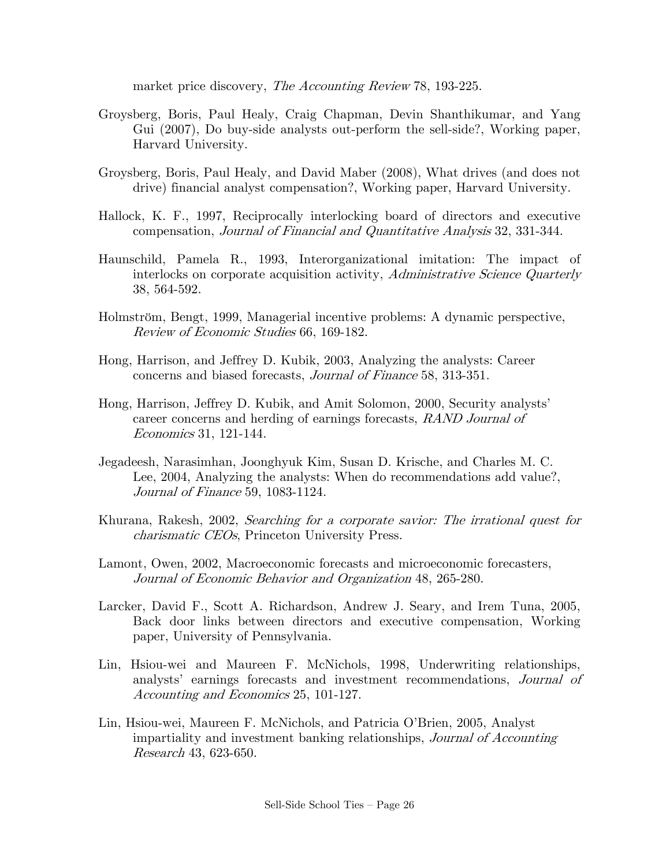market price discovery, The Accounting Review 78, 193-225.

- Groysberg, Boris, Paul Healy, Craig Chapman, Devin Shanthikumar, and Yang Gui (2007), Do buy-side analysts out-perform the sell-side?, Working paper, Harvard University.
- Groysberg, Boris, Paul Healy, and David Maber (2008), What drives (and does not drive) financial analyst compensation?, Working paper, Harvard University.
- Hallock, K. F., 1997, Reciprocally interlocking board of directors and executive compensation, Journal of Financial and Quantitative Analysis 32, 331-344.
- Haunschild, Pamela R., 1993, Interorganizational imitation: The impact of interlocks on corporate acquisition activity, Administrative Science Quarterly 38, 564-592.
- Holmström, Bengt, 1999, Managerial incentive problems: A dynamic perspective, Review of Economic Studies 66, 169-182.
- Hong, Harrison, and Jeffrey D. Kubik, 2003, Analyzing the analysts: Career concerns and biased forecasts, Journal of Finance 58, 313-351.
- Hong, Harrison, Jeffrey D. Kubik, and Amit Solomon, 2000, Security analysts' career concerns and herding of earnings forecasts, RAND Journal of Economics 31, 121-144.
- Jegadeesh, Narasimhan, Joonghyuk Kim, Susan D. Krische, and Charles M. C. Lee, 2004, Analyzing the analysts: When do recommendations add value?, Journal of Finance 59, 1083-1124.
- Khurana, Rakesh, 2002, Searching for a corporate savior: The irrational quest for charismatic CEOs, Princeton University Press.
- Lamont, Owen, 2002, Macroeconomic forecasts and microeconomic forecasters, Journal of Economic Behavior and Organization 48, 265-280.
- Larcker, David F., Scott A. Richardson, Andrew J. Seary, and Irem Tuna, 2005, Back door links between directors and executive compensation, Working paper, University of Pennsylvania.
- Lin, Hsiou-wei and Maureen F. McNichols, 1998, Underwriting relationships, analysts' earnings forecasts and investment recommendations, Journal of Accounting and Economics 25, 101-127.
- Lin, Hsiou-wei, Maureen F. McNichols, and Patricia O'Brien, 2005, Analyst impartiality and investment banking relationships, Journal of Accounting Research 43, 623-650.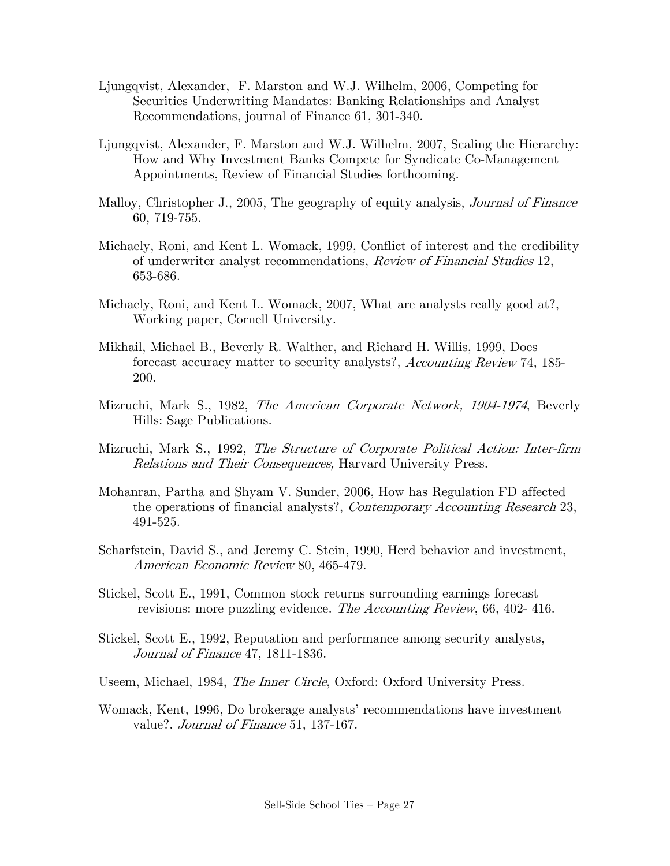- Ljungqvist, Alexander, F. Marston and W.J. Wilhelm, 2006, Competing for Securities Underwriting Mandates: Banking Relationships and Analyst Recommendations, journal of Finance 61, 301-340.
- Ljungqvist, Alexander, F. Marston and W.J. Wilhelm, 2007, Scaling the Hierarchy: How and Why Investment Banks Compete for Syndicate Co-Management Appointments, Review of Financial Studies forthcoming.
- Malloy, Christopher J., 2005, The geography of equity analysis, *Journal of Finance* 60, 719-755.
- Michaely, Roni, and Kent L. Womack, 1999, Conflict of interest and the credibility of underwriter analyst recommendations, Review of Financial Studies 12, 653-686.
- Michaely, Roni, and Kent L. Womack, 2007, What are analysts really good at?, Working paper, Cornell University.
- Mikhail, Michael B., Beverly R. Walther, and Richard H. Willis, 1999, Does forecast accuracy matter to security analysts?, Accounting Review 74, 185- 200.
- Mizruchi, Mark S., 1982, *The American Corporate Network, 1904-1974*, Beverly Hills: Sage Publications.
- Mizruchi, Mark S., 1992, The Structure of Corporate Political Action: Inter-firm Relations and Their Consequences, Harvard University Press.
- Mohanran, Partha and Shyam V. Sunder, 2006, How has Regulation FD affected the operations of financial analysts?, Contemporary Accounting Research 23, 491-525.
- Scharfstein, David S., and Jeremy C. Stein, 1990, Herd behavior and investment, American Economic Review 80, 465-479.
- Stickel, Scott E., 1991, Common stock returns surrounding earnings forecast revisions: more puzzling evidence. *The Accounting Review*, 66, 402-416.
- Stickel, Scott E., 1992, Reputation and performance among security analysts, Journal of Finance 47, 1811-1836.
- Useem, Michael, 1984, *The Inner Circle*, Oxford: Oxford University Press.
- Womack, Kent, 1996, Do brokerage analysts' recommendations have investment value?. Journal of Finance 51, 137-167.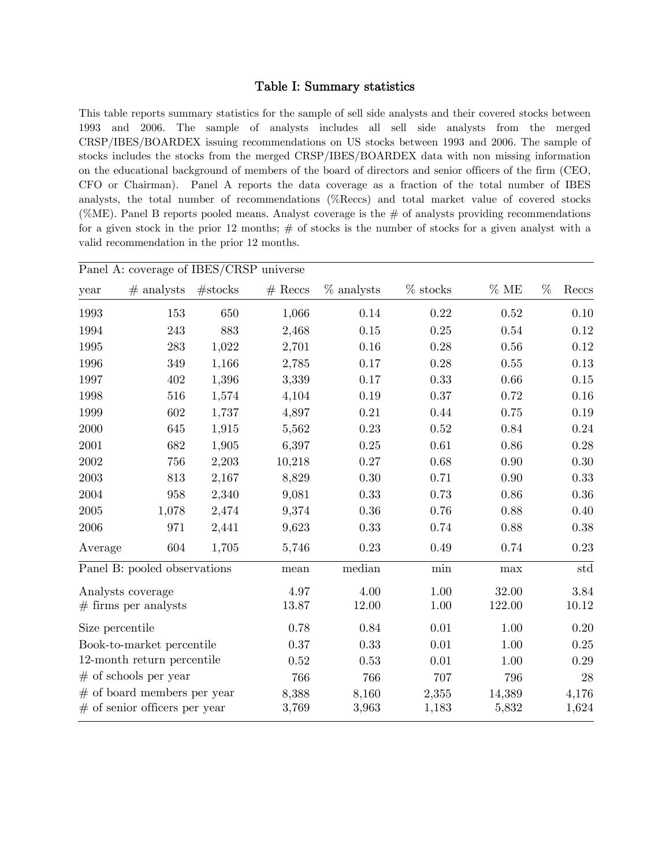### Table I: Summary statistics

This table reports summary statistics for the sample of sell side analysts and their covered stocks between 1993 and 2006. The sample of analysts includes all sell side analysts from the merged CRSP/IBES/BOARDEX issuing recommendations on US stocks between 1993 and 2006. The sample of stocks includes the stocks from the merged CRSP/IBES/BOARDEX data with non missing information on the educational background of members of the board of directors and senior officers of the firm (CEO, CFO or Chairman). Panel A reports the data coverage as a fraction of the total number of IBES analysts, the total number of recommendations (%Reccs) and total market value of covered stocks (%ME). Panel B reports pooled means. Analyst coverage is the  $\#$  of analysts providing recommendations for a given stock in the prior 12 months;  $#$  of stocks is the number of stocks for a given analyst with a valid recommendation in the prior 12 months.

|                 | Panel A: coverage of IBES/CRSP universe |         |           |              |            |          |            |
|-----------------|-----------------------------------------|---------|-----------|--------------|------------|----------|------------|
| year            | $#$ analysts                            | #stocks | $#$ Reccs | $%$ analysts | $%$ stocks | %ME      | %<br>Reccs |
| 1993            | 153                                     | 650     | 1,066     | 0.14         | 0.22       | $0.52\,$ | 0.10       |
| 1994            | 243                                     | 883     | 2,468     | $0.15\,$     | 0.25       | 0.54     | 0.12       |
| 1995            | 283                                     | 1,022   | 2,701     | $0.16\,$     | 0.28       | 0.56     | $0.12\,$   |
| 1996            | 349                                     | 1,166   | 2,785     | 0.17         | 0.28       | 0.55     | 0.13       |
| 1997            | 402                                     | 1,396   | 3,339     | 0.17         | 0.33       | 0.66     | 0.15       |
| 1998            | 516                                     | 1,574   | 4,104     | 0.19         | 0.37       | 0.72     | 0.16       |
| 1999            | 602                                     | 1,737   | 4,897     | 0.21         | 0.44       | 0.75     | 0.19       |
| 2000            | 645                                     | 1,915   | 5,562     | 0.23         | 0.52       | 0.84     | 0.24       |
| 2001            | 682                                     | 1,905   | 6,397     | $0.25\,$     | 0.61       | $0.86\,$ | 0.28       |
| 2002            | 756                                     | 2,203   | 10,218    | 0.27         | 0.68       | 0.90     | 0.30       |
| $\,2003\,$      | 813                                     | 2,167   | 8,829     | $0.30\,$     | 0.71       | 0.90     | 0.33       |
| 2004            | 958                                     | 2,340   | 9,081     | 0.33         | 0.73       | 0.86     | $0.36\,$   |
| 2005            | 1,078                                   | 2,474   | 9,374     | 0.36         | 0.76       | 0.88     | 0.40       |
| 2006            | 971                                     | 2,441   | 9,623     | 0.33         | 0.74       | 0.88     | $0.38\,$   |
| Average         | 604                                     | 1,705   | 5,746     | 0.23         | 0.49       | 0.74     | 0.23       |
|                 | Panel B: pooled observations            |         | mean      | median       | min        | $\max$   | std        |
|                 | Analysts coverage                       |         | 4.97      | 4.00         | 1.00       | 32.00    | 3.84       |
|                 | $#$ firms per analysts                  |         | 13.87     | 12.00        | 1.00       | 122.00   | 10.12      |
| Size percentile |                                         |         | 0.78      | 0.84         | $0.01\,$   | 1.00     | 0.20       |
|                 | Book-to-market percentile               |         | 0.37      | 0.33         | 0.01       | 1.00     | 0.25       |
|                 | 12-month return percentile              |         | 0.52      | 0.53         | 0.01       | 1.00     | 0.29       |
|                 | $#$ of schools per year                 |         | 766       | 766          | 707        | 796      | $28\,$     |
|                 | $#$ of board members per year           |         | 8,388     | 8,160        | 2,355      | 14,389   | 4,176      |
|                 | $\#$ of senior officers per year        |         | 3,769     | 3,963        | 1,183      | 5,832    | 1,624      |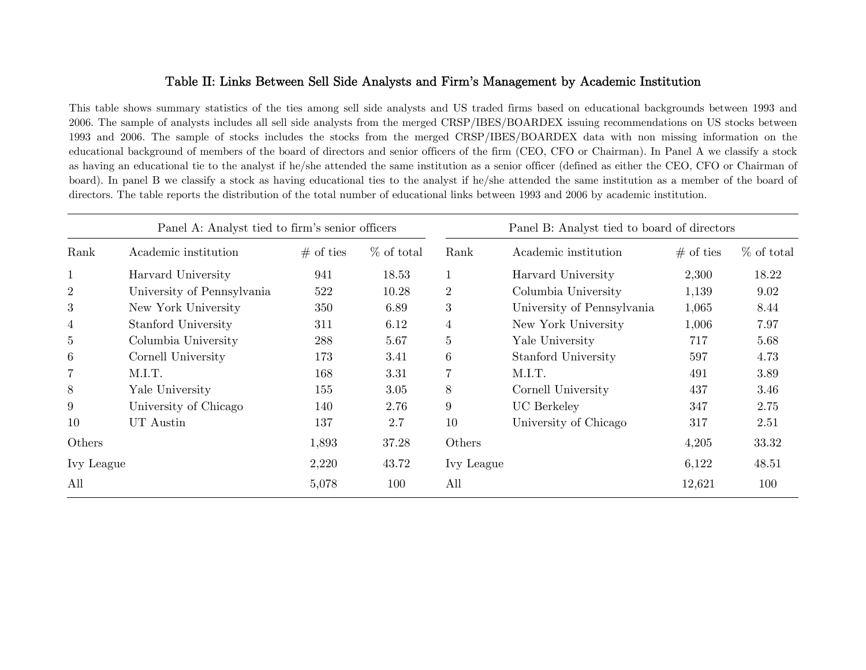## Table II: Links Between Sell Side Analysts and Firm's Management by Academic Institution

This table shows summary statistics of the ties among sell side analysts and US traded firms based on educational backgrounds between 1993 and 2006. The sample of analysts includes all sell side analysts from the merged CRSP/IBES/BOARDEX issuing recommendations on US stocks between 1993 and 2006. The sample of stocks includes the stocks from the merged CRSP/IBES/BOARDEX data with non missing information on the educational background of members of the board of directors and senior officers of the firm (CEO, CFO or Chairman). In Panel A we classify a stock as having an educational tie to the analyst if he/she attended the same institution as a senior officer (defined as either the CEO, CFO or Chairman of board). In panel B we classify a stock as having educational ties to the analyst if he/she attended the same institution as a member of the board of directors. The table reports the distribution of the total number of educational links between 1993 and 2006 by academic institution.

|                | Panel A: Analyst tied to firm's senior officers |             |              | Panel B: Analyst tied to board of directors |                            |             |              |  |  |  |
|----------------|-------------------------------------------------|-------------|--------------|---------------------------------------------|----------------------------|-------------|--------------|--|--|--|
| Rank           | Academic institution                            | $#$ of ties | $%$ of total | Rank                                        | Academic institution       | $#$ of ties | $%$ of total |  |  |  |
| $\mathbf{1}$   | Harvard University                              | 941         | 18.53        |                                             | Harvard University         | 2,300       | 18.22        |  |  |  |
| $\overline{2}$ | University of Pennsylvania                      | 522         | 10.28        | $\overline{2}$                              | Columbia University        | 1,139       | 9.02         |  |  |  |
| 3              | New York University                             | 350         | 6.89         | 3                                           | University of Pennsylvania | 1,065       | 8.44         |  |  |  |
| $\overline{4}$ | Stanford University                             | 311         | 6.12         | 4                                           | New York University        | 1,006       | 7.97         |  |  |  |
| 5              | Columbia University                             | 288         | 5.67         | 5                                           | Yale University            | 717         | 5.68         |  |  |  |
| 6              | Cornell University                              | 173         | 3.41         | 6                                           | Stanford University        | 597         | 4.73         |  |  |  |
| $\overline{7}$ | M.I.T.                                          | 168         | 3.31         | 7                                           | M.I.T.                     | 491         | 3.89         |  |  |  |
| 8              | Yale University                                 | 155         | 3.05         | 8                                           | Cornell University         | 437         | 3.46         |  |  |  |
| 9              | University of Chicago                           | 140         | 2.76         | 9                                           | <b>UC</b> Berkeley         | 347         | 2.75         |  |  |  |
| 10             | UT Austin                                       | 137         | 2.7          | 10                                          | University of Chicago      | 317         | 2.51         |  |  |  |
| Others         |                                                 | 1,893       | 37.28        | Others                                      |                            | 4,205       | 33.32        |  |  |  |
| Ivy League     |                                                 | 2,220       | 43.72        | Ivy League                                  |                            | 6,122       | 48.51        |  |  |  |
| All            |                                                 | 5,078       | 100          | All                                         |                            | 12,621      | 100          |  |  |  |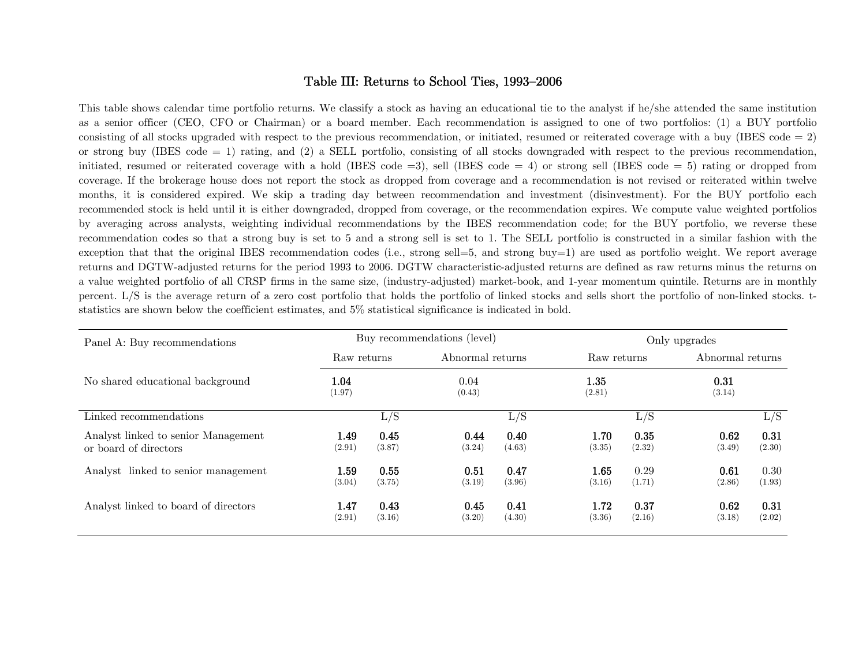### Table III: Returns to School Ties, 1993—2006

This table shows calendar time portfolio returns. We classify a stock as having an educational tie to the analyst if he/she attended the same institution as a senior officer (CEO, CFO or Chairman) or a board member. Each recommendation is assigned to one of two portfolios: (1) a BUY portfolio consisting of all stocks upgraded with respect to the previous recommendation, or initiated, resumed or reiterated coverage with a buy (IBES code  $= 2$ ) or strong buy (IBES code = 1) rating, and (2) a SELL portfolio, consisting of all stocks downgraded with respect to the previous recommendation, initiated, resumed or reiterated coverage with a hold (IBES code =3), sell (IBES code = 4) or strong sell (IBES code = 5) rating or dropped from coverage. If the brokerage house does not report the stock as dropped from coverage and a recommendation is not revised or reiterated within twelve months, it is considered expired. We skip a trading day between recommendation and investment (disinvestment). For the BUY portfolio each recommended stock is held until it is either downgraded, dropped from coverage, or the recommendation expires. We compute value weighted portfolios by averaging across analysts, weighting individual recommendations by the IBES recommendation code; for the BUY portfolio, we reverse these recommendation codes so that a strong buy is set to 5 and a strong sell is set to 1. The SELL portfolio is constructed in a similar fashion with the exception that that the original IBES recommendation codes (i.e., strong sell=5, and strong buy=1) are used as portfolio weight. We report average returns and DGTW-adjusted returns for the period 1993 to 2006. DGTW characteristic-adjusted returns are defined as raw returns minus the returns on a value weighted portfolio of all CRSP firms in the same size, (industry-adjusted) market-book, and 1-year momentum quintile. Returns are in monthly percent. L/S is the average return of a zero cost portfolio that holds the portfolio of linked stocks and sells short the portfolio of non-linked stocks. tstatistics are shown below the coefficient estimates, and 5% statistical significance is indicated in bold.

| Panel A: Buy recommendations                                 |                |                | Buy recommendations (level) | Only upgrades    |                |                |                  |                |
|--------------------------------------------------------------|----------------|----------------|-----------------------------|------------------|----------------|----------------|------------------|----------------|
|                                                              | Raw returns    |                |                             | Abnormal returns |                | Raw returns    | Abnormal returns |                |
| No shared educational background                             | 1.04<br>(1.97) |                | 0.04<br>(0.43)              |                  | 1.35<br>(2.81) |                | 0.31<br>(3.14)   |                |
| Linked recommendations                                       |                | L/S            |                             | L/S              |                | L/S            |                  | L/S            |
| Analyst linked to senior Management<br>or board of directors | 1.49<br>(2.91) | 0.45<br>(3.87) | 0.44<br>(3.24)              | 0.40<br>(4.63)   | 1.70<br>(3.35) | 0.35<br>(2.32) | 0.62<br>(3.49)   | 0.31<br>(2.30) |
| Analyst linked to senior management                          | 1.59<br>(3.04) | 0.55<br>(3.75) | 0.51<br>(3.19)              | 0.47<br>(3.96)   | 1.65<br>(3.16) | 0.29<br>(1.71) | 0.61<br>(2.86)   | 0.30<br>(1.93) |
| Analyst linked to board of directors                         | 1.47<br>(2.91) | 0.43<br>(3.16) | 0.45<br>(3.20)              | 0.41<br>(4.30)   | 1.72<br>(3.36) | 0.37<br>(2.16) | 0.62<br>(3.18)   | 0.31<br>(2.02) |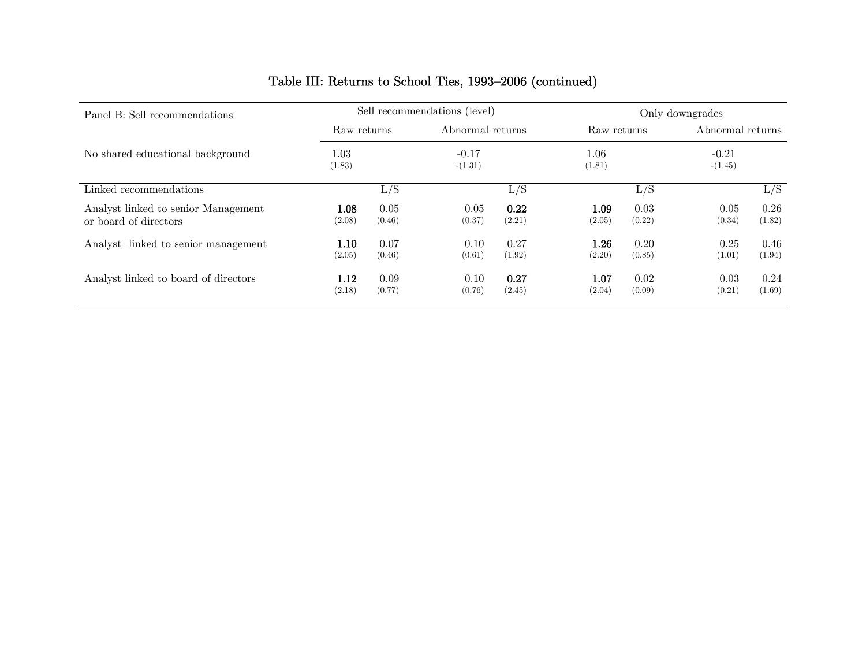## Table III: Returns to School Ties, 1993—2006 (continued)

| Panel B: Sell recommendations                                |                |                | Sell recommendations (level) |                | Only downgrades |                |                      |                |  |
|--------------------------------------------------------------|----------------|----------------|------------------------------|----------------|-----------------|----------------|----------------------|----------------|--|
|                                                              | Raw returns    |                | Abnormal returns             |                | Raw returns     |                | Abnormal returns     |                |  |
| No shared educational background                             | 1.03<br>(1.83) |                | $-0.17$<br>$-(1.31)$         |                | 1.06<br>(1.81)  |                | $-0.21$<br>$-(1.45)$ |                |  |
| Linked recommendations                                       |                | L/S            |                              | L/S            |                 | L/S            |                      | L/S            |  |
| Analyst linked to senior Management<br>or board of directors | 1.08<br>(2.08) | 0.05<br>(0.46) | 0.05<br>(0.37)               | 0.22<br>(2.21) | 1.09<br>(2.05)  | 0.03<br>(0.22) | 0.05<br>(0.34)       | 0.26<br>(1.82) |  |
| Analyst linked to senior management                          | 1.10<br>(2.05) | 0.07<br>(0.46) | 0.10<br>(0.61)               | 0.27<br>(1.92) | 1.26<br>(2.20)  | 0.20<br>(0.85) | 0.25<br>(1.01)       | 0.46<br>(1.94) |  |
| Analyst linked to board of directors                         | 1.12<br>(2.18) | 0.09<br>(0.77) | 0.10<br>(0.76)               | 0.27<br>(2.45) | 1.07<br>(2.04)  | 0.02<br>(0.09) | 0.03<br>(0.21)       | 0.24<br>(1.69) |  |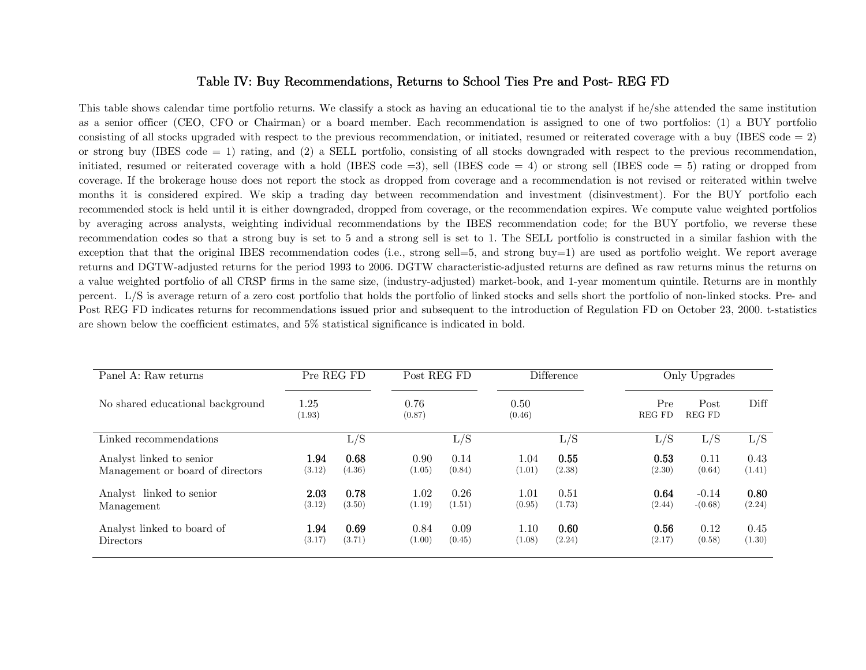### Table IV: Buy Recommendations, Returns to School Ties Pre and Post- REG FD

This table shows calendar time portfolio returns. We classify a stock as having an educational tie to the analyst if he/she attended the same institution as a senior officer (CEO, CFO or Chairman) or a board member. Each recommendation is assigned to one of two portfolios: (1) a BUY portfolio consisting of all stocks upgraded with respect to the previous recommendation, or initiated, resumed or reiterated coverage with a buy (IBES code  $= 2$ ) or strong buy (IBES code = 1) rating, and (2) a SELL portfolio, consisting of all stocks downgraded with respect to the previous recommendation, initiated, resumed or reiterated coverage with a hold (IBES code =3), sell (IBES code = 4) or strong sell (IBES code = 5) rating or dropped from coverage. If the brokerage house does not report the stock as dropped from coverage and a recommendation is not revised or reiterated within twelve months it is considered expired. We skip a trading day between recommendation and investment (disinvestment). For the BUY portfolio each recommended stock is held until it is either downgraded, dropped from coverage, or the recommendation expires. We compute value weighted portfolios by averaging across analysts, weighting individual recommendations by the IBES recommendation code; for the BUY portfolio, we reverse these recommendation codes so that a strong buy is set to 5 and a strong sell is set to 1. The SELL portfolio is constructed in a similar fashion with the exception that that the original IBES recommendation codes (i.e., strong sell=5, and strong buy=1) are used as portfolio weight. We report average returns and DGTW-adjusted returns for the period 1993 to 2006. DGTW characteristic-adjusted returns are defined as raw returns minus the returns on a value weighted portfolio of all CRSP firms in the same size, (industry-adjusted) market-book, and 1-year momentum quintile. Returns are in monthly percent. L/S is average return of a zero cost portfolio that holds the portfolio of linked stocks and sells short the portfolio of non-linked stocks. Pre- and Post REG FD indicates returns for recommendations issued prior and subsequent to the introduction of Regulation FD on October 23, 2000. t-statistics are shown below the coefficient estimates, and 5% statistical significance is indicated in bold.

| Panel A: Raw returns             | Pre REG FD     |        | Post REG FD    |        | Difference     |        | Only Upgrades        |                |        |  |
|----------------------------------|----------------|--------|----------------|--------|----------------|--------|----------------------|----------------|--------|--|
| No shared educational background | 1.25<br>(1.93) |        | 0.76<br>(0.87) |        | 0.50<br>(0.46) |        | Pre<br><b>REG FD</b> | Post<br>REG FD | Diff   |  |
| Linked recommendations           |                | L/S    |                | L/S    |                | L/S    | L/S                  | L/S            | L/S    |  |
| Analyst linked to senior         | 1.94           | 0.68   | 0.90           | 0.14   | 1.04           | 0.55   | 0.53                 | 0.11           | 0.43   |  |
| Management or board of directors | (3.12)         | (4.36) | (1.05)         | (0.84) | (1.01)         | (2.38) | (2.30)               | (0.64)         | (1.41) |  |
| Analyst linked to senior         | 2.03           | 0.78   | 1.02           | 0.26   | $1.01\,$       | 0.51   | 0.64                 | $-0.14$        | 0.80   |  |
| Management                       | (3.12)         | (3.50) | (1.19)         | (1.51) | (0.95)         | (1.73) | (2.44)               | $-(0.68)$      | (2.24) |  |
| Analyst linked to board of       | 1.94           | 0.69   | 0.84           | 0.09   | 1.10           | 0.60   | 0.56                 | 0.12           | 0.45   |  |
| <b>Directors</b>                 | (3.17)         | (3.71) | (1.00)         | (0.45) | (1.08)         | (2.24) | (2.17)               | (0.58)         | (1.30) |  |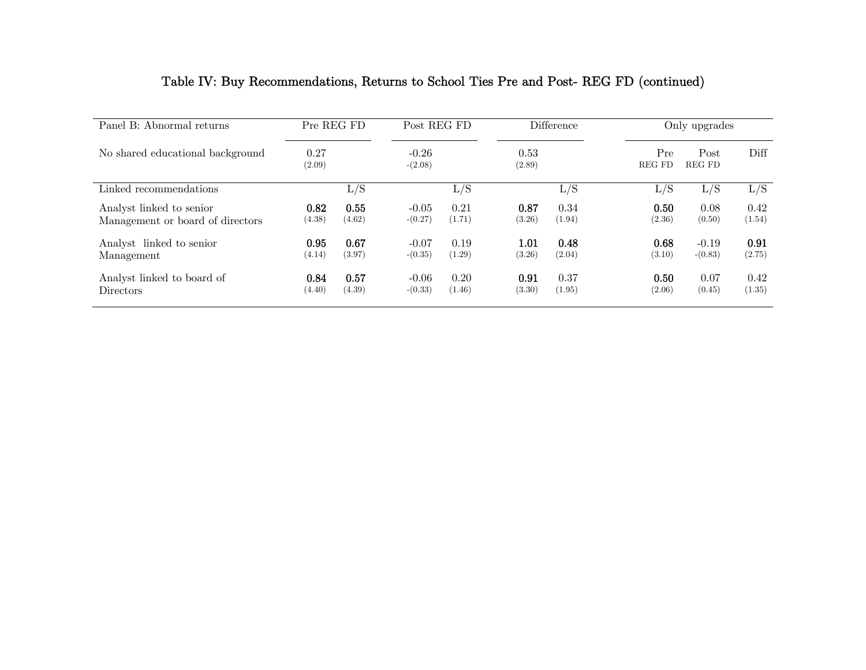| Panel B: Abnormal returns        | Pre REG FD     |        | Post REG FD          |        | <b>Difference</b> |        | Only upgrades                          |           |        |  |
|----------------------------------|----------------|--------|----------------------|--------|-------------------|--------|----------------------------------------|-----------|--------|--|
| No shared educational background | 0.27<br>(2.09) |        | $-0.26$<br>$-(2.08)$ |        | 0.53<br>(2.89)    |        | Pre<br>Post<br><b>REG FD</b><br>REG FD |           | Diff   |  |
| Linked recommendations           |                | L/S    |                      | L/S    |                   | L/S    | L/S                                    | L/S       | L/S    |  |
| Analyst linked to senior         | 0.82           | 0.55   | $-0.05$              | 0.21   | 0.87              | 0.34   | 0.50                                   | 0.08      | 0.42   |  |
| Management or board of directors | (4.38)         | (4.62) | $-(0.27)$            | (1.71) | (3.26)            | (1.94) | (2.36)                                 | (0.50)    | (1.54) |  |
| Analyst linked to senior         | 0.95           | 0.67   | $-0.07$              | 0.19   | 1.01              | 0.48   | 0.68                                   | $-0.19$   | 0.91   |  |
| Management                       | (4.14)         | (3.97) | $-(0.35)$            | (1.29) | (3.26)            | (2.04) | (3.10)                                 | $-(0.83)$ | (2.75) |  |
| Analyst linked to board of       | 0.84           | 0.57   | $-0.06$              | 0.20   | 0.91              | 0.37   | 0.50                                   | 0.07      | 0.42   |  |
| <b>Directors</b>                 | (4.40)         | (4.39) | $-(0.33)$            | (1.46) | (3.30)            | (1.95) | (2.06)                                 | (0.45)    | (1.35) |  |

## Table IV: Buy Recommendations, Returns to School Ties Pre and Post- REG FD (continued)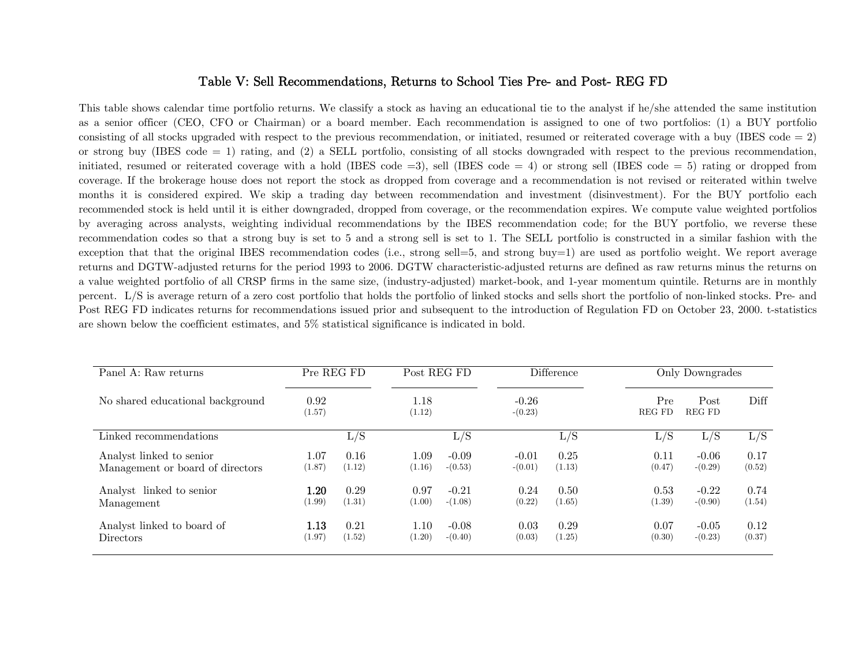## Table V: Sell Recommendations, Returns to School Ties Pre- and Post- REG FD

This table shows calendar time portfolio returns. We classify a stock as having an educational tie to the analyst if he/she attended the same institution as a senior officer (CEO, CFO or Chairman) or a board member. Each recommendation is assigned to one of two portfolios: (1) a BUY portfolio consisting of all stocks upgraded with respect to the previous recommendation, or initiated, resumed or reiterated coverage with a buy (IBES code  $= 2$ ) or strong buy (IBES code = 1) rating, and (2) a SELL portfolio, consisting of all stocks downgraded with respect to the previous recommendation, initiated, resumed or reiterated coverage with a hold (IBES code =3), sell (IBES code = 4) or strong sell (IBES code = 5) rating or dropped from coverage. If the brokerage house does not report the stock as dropped from coverage and a recommendation is not revised or reiterated within twelve months it is considered expired. We skip a trading day between recommendation and investment (disinvestment). For the BUY portfolio each recommended stock is held until it is either downgraded, dropped from coverage, or the recommendation expires. We compute value weighted portfolios by averaging across analysts, weighting individual recommendations by the IBES recommendation code; for the BUY portfolio, we reverse these recommendation codes so that a strong buy is set to 5 and a strong sell is set to 1. The SELL portfolio is constructed in a similar fashion with the exception that that the original IBES recommendation codes (i.e., strong sell=5, and strong buy=1) are used as portfolio weight. We report average returns and DGTW-adjusted returns for the period 1993 to 2006. DGTW characteristic-adjusted returns are defined as raw returns minus the returns on a value weighted portfolio of all CRSP firms in the same size, (industry-adjusted) market-book, and 1-year momentum quintile. Returns are in monthly percent. L/S is average return of a zero cost portfolio that holds the portfolio of linked stocks and sells short the portfolio of non-linked stocks. Pre- and Post REG FD indicates returns for recommendations issued prior and subsequent to the introduction of Regulation FD on October 23, 2000. t-statistics are shown below the coefficient estimates, and 5% statistical significance is indicated in bold.

| Panel A: Raw returns             | Pre REG FD     |        | Post REG FD    |           | <b>Difference</b>    |        | Only Downgrades      |                       |        |  |
|----------------------------------|----------------|--------|----------------|-----------|----------------------|--------|----------------------|-----------------------|--------|--|
| No shared educational background | 0.92<br>(1.57) |        | 1.18<br>(1.12) |           | $-0.26$<br>$-(0.23)$ |        | Pre<br><b>REG FD</b> | Post<br><b>REG FD</b> | Diff   |  |
| Linked recommendations           |                | L/S    |                | L/S       |                      | L/S    | L/S                  | L/S                   | L/S    |  |
| Analyst linked to senior         | 1.07           | 0.16   | 1.09           | $-0.09$   | $-0.01$              | 0.25   | 0.11                 | $-0.06$               | 0.17   |  |
| Management or board of directors | (1.87)         | (1.12) | (1.16)         | $-(0.53)$ | $-(0.01)$            | (1.13) | (0.47)               | $-(0.29)$             | (0.52) |  |
| Analyst linked to senior         | $1.20\,$       | 0.29   | 0.97           | $-0.21$   | 0.24                 | 0.50   | 0.53                 | $-0.22$               | 0.74   |  |
| Management                       | (1.99)         | (1.31) | (1.00)         | $-(1.08)$ | (0.22)               | (1.65) | (1.39)               | $-(0.90)$             | (1.54) |  |
| Analyst linked to board of       | 1.13           | 0.21   | 1.10           | $-0.08$   | 0.03                 | 0.29   | 0.07                 | $-0.05$               | 0.12   |  |
| Directors                        | (1.97)         | (1.52) | (1.20)         | $-(0.40)$ | (0.03)               | (1.25) | (0.30)               | $-(0.23)$             | (0.37) |  |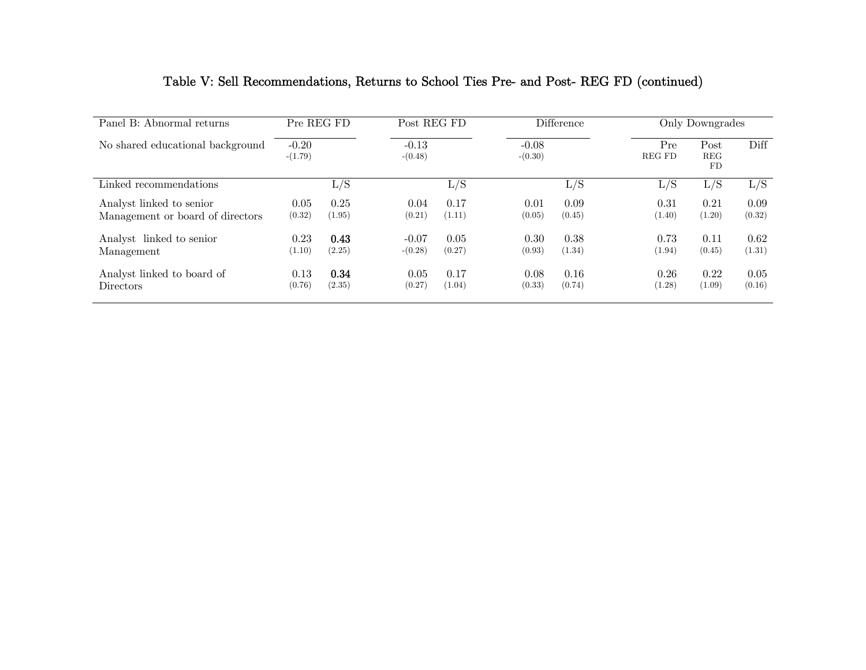| Panel B: Abnormal returns        | Pre REG FD<br>$-0.20$<br>$-(1.79)$ |        |                      | Post REG FD |                      | <b>Difference</b> |               | Only Downgrades                      |        |  |
|----------------------------------|------------------------------------|--------|----------------------|-------------|----------------------|-------------------|---------------|--------------------------------------|--------|--|
| No shared educational background |                                    |        | $-0.13$<br>$-(0.48)$ |             | $-0.08$<br>$-(0.30)$ |                   | Pre<br>REG FD | Post<br><b>REG</b><br>F <sub>D</sub> | Diff   |  |
| Linked recommendations           |                                    | L/S    |                      | L/S         |                      | L/S               | L/S           | L/S                                  | L/S    |  |
| Analyst linked to senior         | 0.05                               | 0.25   | 0.04                 | 0.17        | 0.01                 | 0.09              | 0.31          | 0.21                                 | 0.09   |  |
| Management or board of directors | (0.32)                             | (1.95) | (0.21)               | (1.11)      | (0.05)               | (0.45)            | (1.40)        | (1.20)                               | (0.32) |  |
| Analyst linked to senior         | 0.23                               | 0.43   | $-0.07$              | 0.05        | 0.30                 | 0.38              | 0.73          | 0.11                                 | 0.62   |  |
| Management                       | (1.10)                             | (2.25) | $-(0.28)$            | (0.27)      | (0.93)               | (1.34)            | (1.94)        | (0.45)                               | (1.31) |  |
| Analyst linked to board of       | 0.13                               | 0.34   | 0.05                 | 0.17        | 0.08                 | 0.16              | 0.26          | 0.22                                 | 0.05   |  |
| <b>Directors</b>                 | (0.76)                             | (2.35) | (0.27)               | (1.04)      | (0.33)               | (0.74)            | (1.28)        | (1.09)                               | (0.16) |  |

# Table V: Sell Recommendations, Returns to School Ties Pre- and Post- REG FD (continued)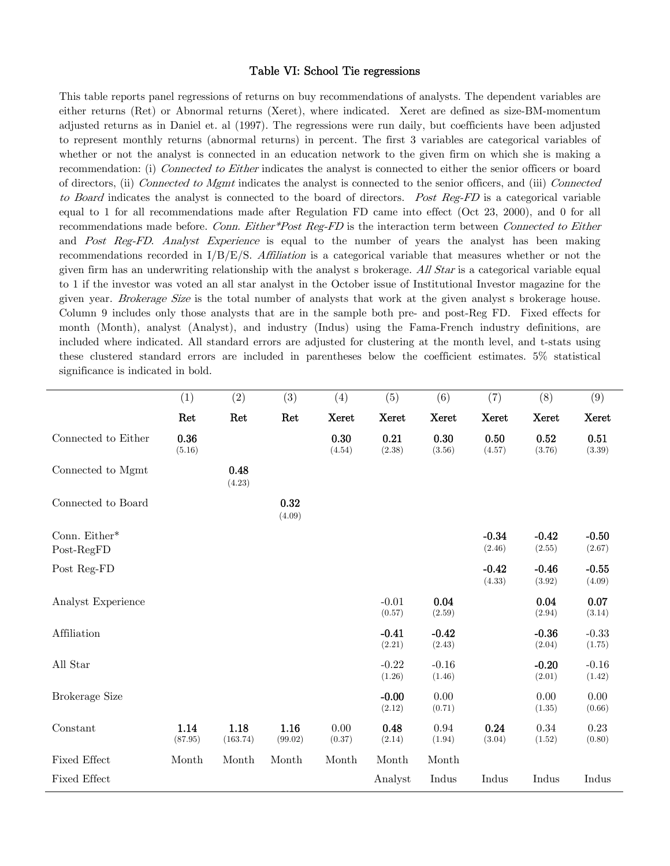#### Table VI: School Tie regressions

This table reports panel regressions of returns on buy recommendations of analysts. The dependent variables are either returns (Ret) or Abnormal returns (Xeret), where indicated. Xeret are defined as size-BM-momentum adjusted returns as in Daniel et. al (1997). The regressions were run daily, but coefficients have been adjusted to represent monthly returns (abnormal returns) in percent. The first 3 variables are categorical variables of whether or not the analyst is connected in an education network to the given firm on which she is making a recommendation: (i) Connected to Either indicates the analyst is connected to either the senior officers or board of directors, (ii) Connected to Mgmt indicates the analyst is connected to the senior officers, and (iii) Connected to Board indicates the analyst is connected to the board of directors. Post Reg-FD is a categorical variable equal to 1 for all recommendations made after Regulation FD came into effect (Oct 23, 2000), and 0 for all recommendations made before. Conn. Either\*Post Reg-FD is the interaction term between Connected to Either and Post Reg-FD. Analyst Experience is equal to the number of years the analyst has been making recommendations recorded in  $I/B/E/S$ . Affiliation is a categorical variable that measures whether or not the given firm has an underwriting relationship with the analyst s brokerage.  $\Delta H$  Star is a categorical variable equal to 1 if the investor was voted an all star analyst in the October issue of Institutional Investor magazine for the given year. Brokerage Size is the total number of analysts that work at the given analyst s brokerage house. Column 9 includes only those analysts that are in the sample both pre- and post-Reg FD. Fixed effects for month (Month), analyst (Analyst), and industry (Indus) using the Fama-French industry definitions, are included where indicated. All standard errors are adjusted for clustering at the month level, and t-stats using these clustered standard errors are included in parentheses below the coefficient estimates. 5% statistical significance is indicated in bold.

|                             | (1)             | (2)              | (3)             | (4)            | (5)               | (6)               | (7)               | (8)               | (9)               |
|-----------------------------|-----------------|------------------|-----------------|----------------|-------------------|-------------------|-------------------|-------------------|-------------------|
|                             | Ret             | Ret              | Ret             | <b>Xeret</b>   | Xeret             | <b>Xeret</b>      | Xeret             | Xeret             | Xeret             |
| Connected to Either         | 0.36<br>(5.16)  |                  |                 | 0.30<br>(4.54) | 0.21<br>(2.38)    | 0.30<br>(3.56)    | 0.50<br>(4.57)    | 0.52<br>(3.76)    | 0.51<br>(3.39)    |
| Connected to Mgmt           |                 | 0.48<br>(4.23)   |                 |                |                   |                   |                   |                   |                   |
| Connected to Board          |                 |                  | 0.32<br>(4.09)  |                |                   |                   |                   |                   |                   |
| Conn. Either*<br>Post-RegFD |                 |                  |                 |                |                   |                   | $-0.34$<br>(2.46) | $-0.42$<br>(2.55) | $-0.50$<br>(2.67) |
| Post Reg-FD                 |                 |                  |                 |                |                   |                   | $-0.42$<br>(4.33) | $-0.46$<br>(3.92) | $-0.55$<br>(4.09) |
| Analyst Experience          |                 |                  |                 |                | $-0.01$<br>(0.57) | 0.04<br>(2.59)    |                   | 0.04<br>(2.94)    | 0.07<br>(3.14)    |
| Affiliation                 |                 |                  |                 |                | $-0.41$<br>(2.21) | $-0.42$<br>(2.43) |                   | $-0.36$<br>(2.04) | $-0.33$<br>(1.75) |
| All Star                    |                 |                  |                 |                | $-0.22$<br>(1.26) | $-0.16$<br>(1.46) |                   | $-0.20$<br>(2.01) | $-0.16$<br>(1.42) |
| <b>Brokerage Size</b>       |                 |                  |                 |                | $-0.00$<br>(2.12) | 0.00<br>(0.71)    |                   | 0.00<br>(1.35)    | 0.00<br>(0.66)    |
| Constant                    | 1.14<br>(87.95) | 1.18<br>(163.74) | 1.16<br>(99.02) | 0.00<br>(0.37) | 0.48<br>(2.14)    | 0.94<br>(1.94)    | 0.24<br>(3.04)    | 0.34<br>(1.52)    | 0.23<br>(0.80)    |
| Fixed Effect                | Month           | Month            | Month           | Month          | Month             | Month             |                   |                   |                   |
| Fixed Effect                |                 |                  |                 |                | Analyst           | Indus             | Indus             | Indus             | Indus             |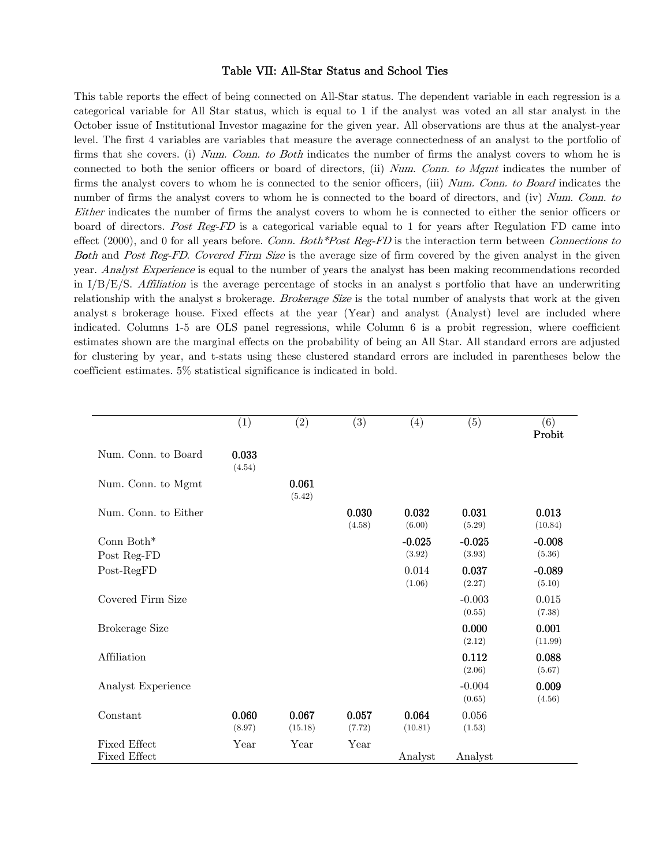#### Table VII: All-Star Status and School Ties

This table reports the effect of being connected on All-Star status. The dependent variable in each regression is a categorical variable for All Star status, which is equal to 1 if the analyst was voted an all star analyst in the October issue of Institutional Investor magazine for the given year. All observations are thus at the analyst-year level. The first 4 variables are variables that measure the average connectedness of an analyst to the portfolio of firms that she covers. (i) Num. Conn. to Both indicates the number of firms the analyst covers to whom he is connected to both the senior officers or board of directors, (ii) Num. Conn. to Mgmt indicates the number of firms the analyst covers to whom he is connected to the senior officers, (iii) Num. Conn. to Board indicates the number of firms the analyst covers to whom he is connected to the board of directors, and (iv) Num. Conn. to Either indicates the number of firms the analyst covers to whom he is connected to either the senior officers or board of directors. Post Reg-FD is a categorical variable equal to 1 for years after Regulation FD came into effect (2000), and 0 for all years before. Conn. Both\*Post Reg-FD is the interaction term between Connections to Both and Post Reg-FD. Covered Firm Size is the average size of firm covered by the given analyst in the given year. Analyst Experience is equal to the number of years the analyst has been making recommendations recorded in  $I/B/E/S$ . Affiliation is the average percentage of stocks in an analyst s portfolio that have an underwriting relationship with the analyst's brokerage. Brokerage Size is the total number of analysts that work at the given analyst's brokerage house. Fixed effects at the year (Year) and analyst (Analyst) level are included where indicated. Columns 1-5 are OLS panel regressions, while Column 6 is a probit regression, where coefficient estimates shown are the marginal effects on the probability of being an All Star. All standard errors are adjusted for clustering by year, and t-stats using these clustered standard errors are included in parentheses below the coefficient estimates. 5% statistical significance is indicated in bold.

|                       | (1)             | (2)              | (3)             | (4)              | (5)                | (6)<br>Probit      |
|-----------------------|-----------------|------------------|-----------------|------------------|--------------------|--------------------|
| Num. Conn. to Board   | 0.033<br>(4.54) |                  |                 |                  |                    |                    |
| Num. Conn. to Mgmt    |                 | 0.061<br>(5.42)  |                 |                  |                    |                    |
| Num. Conn. to Either  |                 |                  | 0.030<br>(4.58) | 0.032<br>(6.00)  | 0.031<br>(5.29)    | 0.013<br>(10.84)   |
| Conn $Both*$          |                 |                  |                 | $-0.025$         | $-0.025$           | $-0.008$           |
| Post Reg-FD           |                 |                  |                 | (3.92)           | (3.93)             | (5.36)             |
| Post-RegFD            |                 |                  |                 | 0.014<br>(1.06)  | 0.037<br>(2.27)    | $-0.089$<br>(5.10) |
| Covered Firm Size     |                 |                  |                 |                  | $-0.003$<br>(0.55) | 0.015<br>(7.38)    |
| <b>Brokerage Size</b> |                 |                  |                 |                  | 0.000<br>(2.12)    | 0.001<br>(11.99)   |
| Affiliation           |                 |                  |                 |                  | 0.112<br>(2.06)    | 0.088<br>(5.67)    |
| Analyst Experience    |                 |                  |                 |                  | $-0.004$<br>(0.65) | 0.009<br>(4.56)    |
| Constant              | 0.060<br>(8.97) | 0.067<br>(15.18) | 0.057<br>(7.72) | 0.064<br>(10.81) | 0.056<br>(1.53)    |                    |
| Fixed Effect          | Year            | Year             | Year            |                  |                    |                    |
| Fixed Effect          |                 |                  |                 | Analyst          | Analyst            |                    |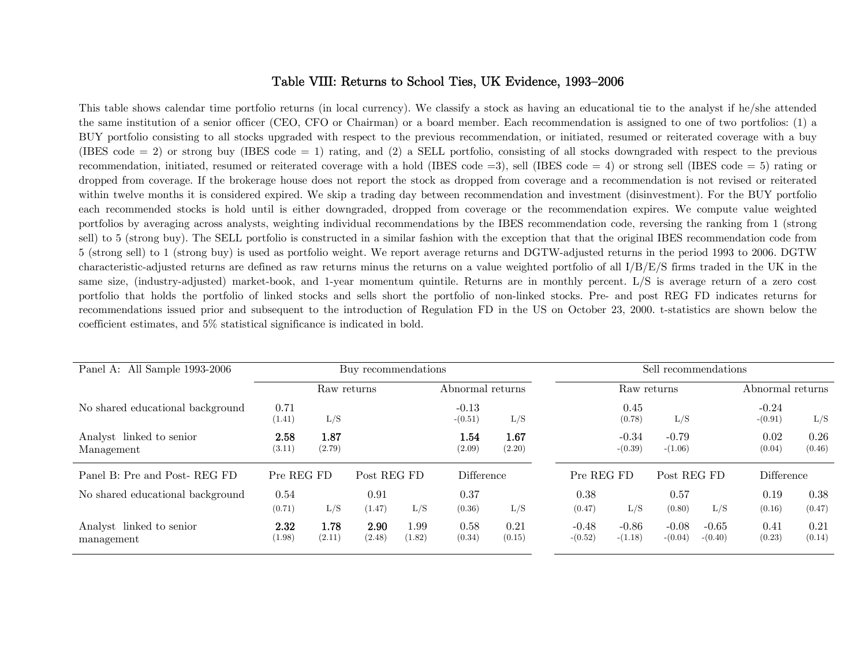### Table VIII: Returns to School Ties, UK Evidence, 1993—2006

This table shows calendar time portfolio returns (in local currency). We classify a stock as having an educational tie to the analyst if he/she attended the same institution of a senior officer (CEO, CFO or Chairman) or a board member. Each recommendation is assigned to one of two portfolios: (1) a BUY portfolio consisting to all stocks upgraded with respect to the previous recommendation, or initiated, resumed or reiterated coverage with a buy (IBES code = 2) or strong buy (IBES code = 1) rating, and (2) a SELL portfolio, consisting of all stocks downgraded with respect to the previous recommendation, initiated, resumed or reiterated coverage with a hold (IBES code =3), sell (IBES code = 4) or strong sell (IBES code = 5) rating or dropped from coverage. If the brokerage house does not report the stock as dropped from coverage and a recommendation is not revised or reiterated within twelve months it is considered expired. We skip a trading day between recommendation and investment (disinvestment). For the BUY portfolio each recommended stocks is hold until is either downgraded, dropped from coverage or the recommendation expires. We compute value weighted portfolios by averaging across analysts, weighting individual recommendations by the IBES recommendation code, reversing the ranking from 1 (strong sell) to 5 (strong buy). The SELL portfolio is constructed in a similar fashion with the exception that that the original IBES recommendation code from 5 (strong sell) to 1 (strong buy) is used as portfolio weight. We report average returns and DGTW-adjusted returns in the period 1993 to 2006. DGTW characteristic-adjusted returns are defined as raw returns minus the returns on a value weighted portfolio of all I/B/E/S firms traded in the UK in the same size, (industry-adjusted) market-book, and 1-year momentum quintile. Returns are in monthly percent. L/S is average return of a zero cost portfolio that holds the portfolio of linked stocks and sells short the portfolio of non-linked stocks. Pre- and post REG FD indicates returns for recommendations issued prior and subsequent to the introduction of Regulation FD in the US on October 23, 2000. t-statistics are shown below the coefficient estimates, and 5% statistical significance is indicated in bold.

| Panel A: All Sample 1993-2006          | Buy recommendations |                |                |                |                                 |                | Sell recommendations |                      |                      |                      |                      |                |
|----------------------------------------|---------------------|----------------|----------------|----------------|---------------------------------|----------------|----------------------|----------------------|----------------------|----------------------|----------------------|----------------|
|                                        |                     | Raw returns    |                |                | Abnormal returns<br>Raw returns |                |                      | Abnormal returns     |                      |                      |                      |                |
| No shared educational background       | 0.71<br>(1.41)      | L/S            |                |                | $-0.13$<br>$-(0.51)$            | L/S            |                      | 0.45<br>(0.78)       | L/S                  |                      | $-0.24$<br>$-(0.91)$ | L/S            |
| Analyst linked to senior<br>Management | 2.58<br>(3.11)      | 1.87<br>(2.79) |                |                | $1.54\,$<br>(2.09)              | 1.67<br>(2.20) |                      | $-0.34$<br>$-(0.39)$ | $-0.79$<br>$-(1.06)$ |                      | 0.02<br>(0.04)       | 0.26<br>(0.46) |
| Panel B: Pre and Post-REG FD           | Pre REG FD          |                | Post REG FD    |                | Difference                      |                | Pre REG FD           |                      | Post REG FD          |                      | Difference           |                |
| No shared educational background       | 0.54<br>(0.71)      | L/S            | 0.91<br>(1.47) | L/S            | 0.37<br>(0.36)                  | L/S            | 0.38<br>(0.47)       | L/S                  | 0.57<br>(0.80)       | L/S                  | 0.19<br>(0.16)       | 0.38<br>(0.47) |
| Analyst linked to senior<br>management | 2.32<br>(1.98)      | 1.78<br>(2.11) | 2.90<br>(2.48) | 1.99<br>(1.82) | 0.58<br>(0.34)                  | 0.21<br>(0.15) | $-0.48$<br>$-(0.52)$ | $-0.86$<br>$-(1.18)$ | $-0.08$<br>$-(0.04)$ | $-0.65$<br>$-(0.40)$ | 0.41<br>(0.23)       | 0.21<br>(0.14) |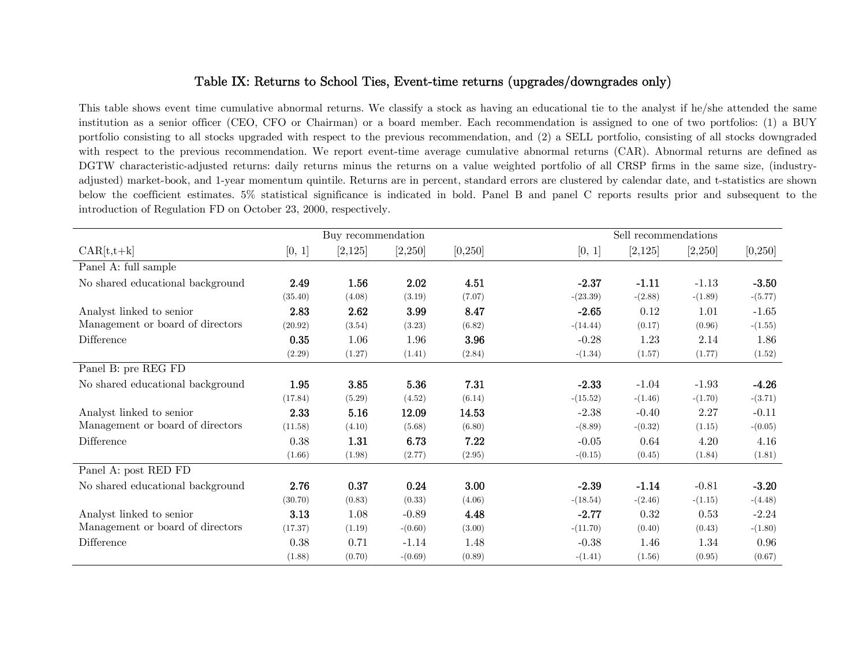## Table IX: Returns to School Ties, Event-time returns (upgrades/downgrades only)

This table shows event time cumulative abnormal returns. We classify a stock as having an educational tie to the analyst if he/she attended the same institution as a senior officer (CEO, CFO or Chairman) or a board member. Each recommendation is assigned to one of two portfolios: (1) a BUY portfolio consisting to all stocks upgraded with respect to the previous recommendation, and (2) a SELL portfolio, consisting of all stocks downgraded with respect to the previous recommendation. We report event-time average cumulative abnormal returns (CAR). Abnormal returns are defined as DGTW characteristic-adjusted returns: daily returns minus the returns on a value weighted portfolio of all CRSP firms in the same size, (industryadjusted) market-book, and 1-year momentum quintile. Returns are in percent, standard errors are clustered by calendar date, and t-statistics are shown below the coefficient estimates. 5% statistical significance is indicated in bold. Panel B and panel C reports results prior and subsequent to the introduction of Regulation FD on October 23, 2000, respectively.

|                                  |         | Buy recommendation |           |          |            | Sell recommendations |           |           |  |  |
|----------------------------------|---------|--------------------|-----------|----------|------------|----------------------|-----------|-----------|--|--|
| $CAR[t,t+k]$                     | [0, 1]  | [2,125]            | [2,250]   | [0, 250] | [0, 1]     | [2,125]              | [2,250]   | [0, 250]  |  |  |
| Panel A: full sample             |         |                    |           |          |            |                      |           |           |  |  |
| No shared educational background | 2.49    | 1.56               | 2.02      | 4.51     | $-2.37$    | $-1.11$              | $-1.13$   | $-3.50$   |  |  |
|                                  | (35.40) | (4.08)             | (3.19)    | (7.07)   | $-(23.39)$ | $-(2.88)$            | $-(1.89)$ | $-(5.77)$ |  |  |
| Analyst linked to senior         | 2.83    | 2.62               | 3.99      | 8.47     | $-2.65$    | 0.12                 | 1.01      | $-1.65$   |  |  |
| Management or board of directors | (20.92) | (3.54)             | (3.23)    | (6.82)   | $-(14.44)$ | (0.17)               | (0.96)    | $-(1.55)$ |  |  |
| Difference                       | 0.35    | 1.06               | 1.96      | 3.96     | $-0.28$    | 1.23                 | 2.14      | 1.86      |  |  |
|                                  | (2.29)  | (1.27)             | (1.41)    | (2.84)   | $-(1.34)$  | (1.57)               | (1.77)    | (1.52)    |  |  |
| Panel B: pre REG FD              |         |                    |           |          |            |                      |           |           |  |  |
| No shared educational background | 1.95    | 3.85               | 5.36      | 7.31     | $-2.33$    | $-1.04$              | $-1.93$   | $-4.26$   |  |  |
|                                  | (17.84) | (5.29)             | (4.52)    | (6.14)   | $-(15.52)$ | $-(1.46)$            | $-(1.70)$ | $-(3.71)$ |  |  |
| Analyst linked to senior         | 2.33    | 5.16               | 12.09     | 14.53    | $-2.38$    | $-0.40$              | 2.27      | $-0.11$   |  |  |
| Management or board of directors | (11.58) | (4.10)             | (5.68)    | (6.80)   | $-(8.89)$  | $-(0.32)$            | (1.15)    | $-(0.05)$ |  |  |
| Difference                       | 0.38    | 1.31               | 6.73      | 7.22     | $-0.05$    | 0.64                 | 4.20      | 4.16      |  |  |
|                                  | (1.66)  | (1.98)             | (2.77)    | (2.95)   | $-(0.15)$  | (0.45)               | (1.84)    | (1.81)    |  |  |
| Panel A: post RED FD             |         |                    |           |          |            |                      |           |           |  |  |
| No shared educational background | 2.76    | 0.37               | 0.24      | 3.00     | $-2.39$    | $-1.14$              | $-0.81$   | $-3.20$   |  |  |
|                                  | (30.70) | (0.83)             | (0.33)    | (4.06)   | $-(18.54)$ | $-(2.46)$            | $-(1.15)$ | $-(4.48)$ |  |  |
| Analyst linked to senior         | 3.13    | 1.08               | $-0.89$   | 4.48     | $-2.77$    | 0.32                 | 0.53      | $-2.24$   |  |  |
| Management or board of directors | (17.37) | (1.19)             | $-(0.60)$ | (3.00)   | $-(11.70)$ | (0.40)               | (0.43)    | $-(1.80)$ |  |  |
| Difference                       | 0.38    | 0.71               | $-1.14$   | 1.48     | $-0.38$    | 1.46                 | 1.34      | 0.96      |  |  |
|                                  | (1.88)  | (0.70)             | $-(0.69)$ | (0.89)   | $-(1.41)$  | (1.56)               | (0.95)    | (0.67)    |  |  |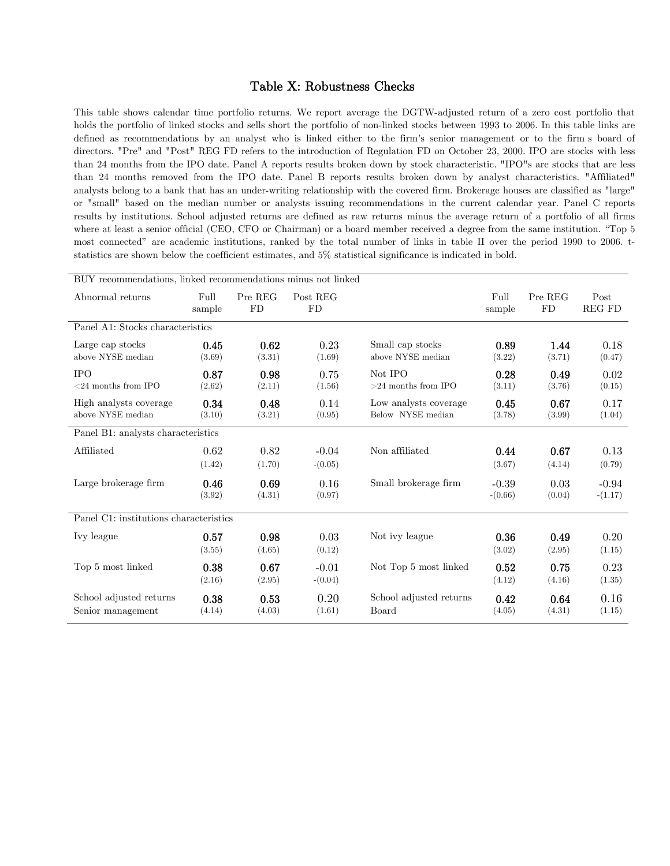#### Table X: Robustness Checks

This table shows calendar time portfolio returns. We report average the DGTW-adjusted return of a zero cost portfolio that holds the portfolio of linked stocks and sells short the portfolio of non-linked stocks between 1993 to 2006. In this table links are defined as recommendations by an analyst who is linked either to the firm's senior management or to the firm's board of directors. "Pre" and "Post" REG FD refers to the introduction of Regulation FD on October 23, 2000. IPO are stocks with less than 24 months from the IPO date. Panel A reports results broken down by stock characteristic. "IPO"s are stocks that are less than 24 months removed from the IPO date. Panel B reports results broken down by analyst characteristics. "Affiliated" analysts belong to a bank that has an under-writing relationship with the covered firm. Brokerage houses are classified as "large" or "small" based on the median number or analysts issuing recommendations in the current calendar year. Panel C reports results by institutions. School adjusted returns are defined as raw returns minus the average return of a portfolio of all firms where at least a senior official (CEO, CFO or Chairman) or a board member received a degree from the same institution. "Top 5 most connected" are academic institutions, ranked by the total number of links in table II over the period 1990 to 2006. tstatistics are shown below the coefficient estimates, and 5% statistical significance is indicated in bold.

| BUY recommendations, linked recommendations minus not linked |                |                      |                       |                                            |                      |                |                       |  |  |  |
|--------------------------------------------------------------|----------------|----------------------|-----------------------|--------------------------------------------|----------------------|----------------|-----------------------|--|--|--|
| Abnormal returns                                             | Full<br>sample | Pre REG<br><b>FD</b> | Post REG<br><b>FD</b> |                                            | Full<br>sample       | Pre REG<br>FD  | Post<br><b>REG FD</b> |  |  |  |
| Panel A1: Stocks characteristics                             |                |                      |                       |                                            |                      |                |                       |  |  |  |
| Large cap stocks<br>above NYSE median                        | 0.45<br>(3.69) | 0.62<br>(3.31)       | 0.23<br>(1.69)        | Small cap stocks<br>above NYSE median      | 0.89<br>(3.22)       | 1.44<br>(3.71) | 0.18<br>(0.47)        |  |  |  |
| <b>IPO</b><br>$<$ 24 months from IPO                         | 0.87<br>(2.62) | 0.98<br>(2.11)       | 0.75<br>(1.56)        | Not IPO<br>$>24$ months from IPO           | 0.28<br>(3.11)       | 0.49<br>(3.76) | 0.02<br>(0.15)        |  |  |  |
| High analysts coverage<br>above NYSE median                  | 0.34<br>(3.10) | 0.48<br>(3.21)       | 0.14<br>(0.95)        | Low analysts coverage<br>Below NYSE median | 0.45<br>(3.78)       | 0.67<br>(3.99) | 0.17<br>(1.04)        |  |  |  |
| Panel B1: analysts characteristics                           |                |                      |                       |                                            |                      |                |                       |  |  |  |
| Affiliated                                                   | 0.62           | 0.82                 | $-0.04$               | Non affiliated                             | 0.44                 | 0.67           | 0.13                  |  |  |  |
|                                                              | (1.42)         | (1.70)               | $-(0.05)$             |                                            | (3.67)               | (4.14)         | (0.79)                |  |  |  |
| Large brokerage firm                                         | 0.46<br>(3.92) | 0.69<br>(4.31)       | 0.16<br>(0.97)        | Small brokerage firm                       | $-0.39$<br>$-(0.66)$ | 0.03<br>(0.04) | $-0.94$<br>$-(1.17)$  |  |  |  |
| Panel C1: institutions characteristics                       |                |                      |                       |                                            |                      |                |                       |  |  |  |
| Ivy league                                                   | 0.57<br>(3.55) | 0.98<br>(4.65)       | 0.03<br>(0.12)        | Not ivy league                             | 0.36<br>(3.02)       | 0.49<br>(2.95) | 0.20<br>(1.15)        |  |  |  |
| Top 5 most linked                                            | 0.38<br>(2.16) | 0.67<br>(2.95)       | $-0.01$<br>$-(0.04)$  | Not Top 5 most linked                      | 0.52<br>(4.12)       | 0.75<br>(4.16) | 0.23<br>(1.35)        |  |  |  |
| School adjusted returns<br>Senior management                 | 0.38<br>(4.14) | 0.53<br>(4.03)       | 0.20<br>(1.61)        | School adjusted returns<br>Board           | 0.42<br>(4.05)       | 0.64<br>(4.31) | 0.16<br>(1.15)        |  |  |  |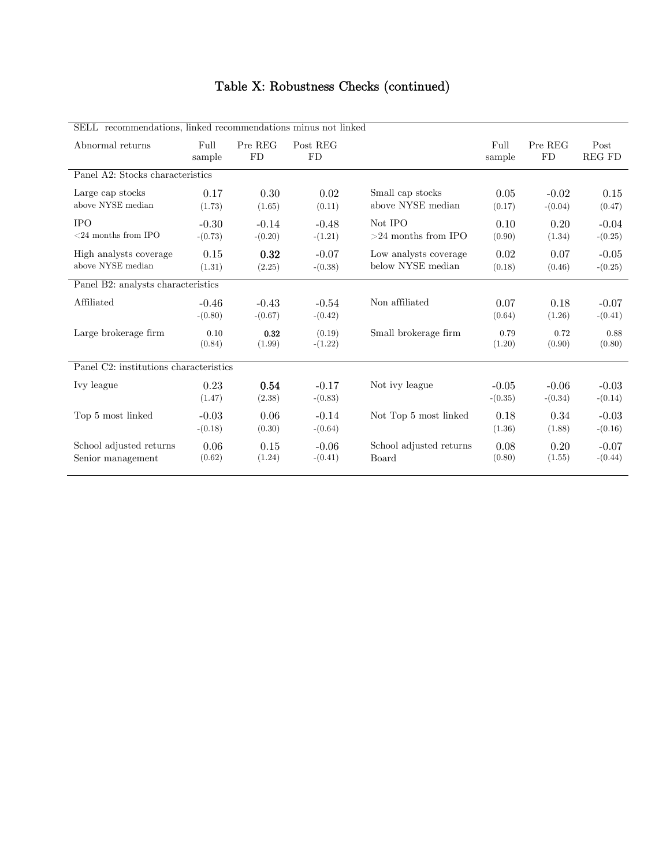# Table X: Robustness Checks (continued)

| SELL recommendations, linked recommendations minus not linked |                      |                      |                       |                                            |                      |                      |                       |  |  |  |
|---------------------------------------------------------------|----------------------|----------------------|-----------------------|--------------------------------------------|----------------------|----------------------|-----------------------|--|--|--|
| Abnormal returns                                              | Full<br>sample       | Pre REG<br>FD        | Post REG<br><b>FD</b> |                                            | Full<br>sample       | Pre REG<br><b>FD</b> | Post<br><b>REG FD</b> |  |  |  |
| Panel A2: Stocks characteristics                              |                      |                      |                       |                                            |                      |                      |                       |  |  |  |
| Large cap stocks<br>above NYSE median                         | 0.17<br>(1.73)       | 0.30<br>(1.65)       | 0.02<br>(0.11)        | Small cap stocks<br>above NYSE median      | 0.05<br>(0.17)       | $-0.02$<br>$-(0.04)$ | 0.15<br>(0.47)        |  |  |  |
| <b>IPO</b><br>$<24$ months from IPO                           | $-0.30$<br>$-(0.73)$ | $-0.14$<br>$-(0.20)$ | $-0.48$<br>$-(1.21)$  | Not IPO<br>$>24$ months from IPO           | 0.10<br>(0.90)       | 0.20<br>(1.34)       | $-0.04$<br>$-(0.25)$  |  |  |  |
| High analysts coverage<br>above NYSE median                   | 0.15<br>(1.31)       | 0.32<br>(2.25)       | $-0.07$<br>$-(0.38)$  | Low analysts coverage<br>below NYSE median | 0.02<br>(0.18)       | 0.07<br>(0.46)       | $-0.05$<br>$-(0.25)$  |  |  |  |
| Panel B2: analysts characteristics                            |                      |                      |                       |                                            |                      |                      |                       |  |  |  |
| Affiliated                                                    | $-0.46$<br>$-(0.80)$ | $-0.43$<br>$-(0.67)$ | $-0.54$<br>$-(0.42)$  | Non affiliated                             | 0.07<br>(0.64)       | 0.18<br>(1.26)       | $-0.07$<br>$-(0.41)$  |  |  |  |
| Large brokerage firm                                          | 0.10<br>(0.84)       | 0.32<br>(1.99)       | (0.19)<br>$-(1.22)$   | Small brokerage firm                       | 0.79<br>(1.20)       | 0.72<br>(0.90)       | 0.88<br>(0.80)        |  |  |  |
| Panel C2: institutions characteristics                        |                      |                      |                       |                                            |                      |                      |                       |  |  |  |
| Ivy league                                                    | 0.23<br>(1.47)       | 0.54<br>(2.38)       | $-0.17$<br>$-(0.83)$  | Not ivy league                             | $-0.05$<br>$-(0.35)$ | $-0.06$<br>$-(0.34)$ | $-0.03$<br>$-(0.14)$  |  |  |  |
| Top 5 most linked                                             | $-0.03$<br>$-(0.18)$ | 0.06<br>(0.30)       | $-0.14$<br>$-(0.64)$  | Not Top 5 most linked                      | 0.18<br>(1.36)       | 0.34<br>(1.88)       | $-0.03$<br>$-(0.16)$  |  |  |  |
| School adjusted returns<br>Senior management                  | 0.06<br>(0.62)       | 0.15<br>(1.24)       | $-0.06$<br>$-(0.41)$  | School adjusted returns<br>Board           | 0.08<br>(0.80)       | 0.20<br>(1.55)       | $-0.07$<br>$-(0.44)$  |  |  |  |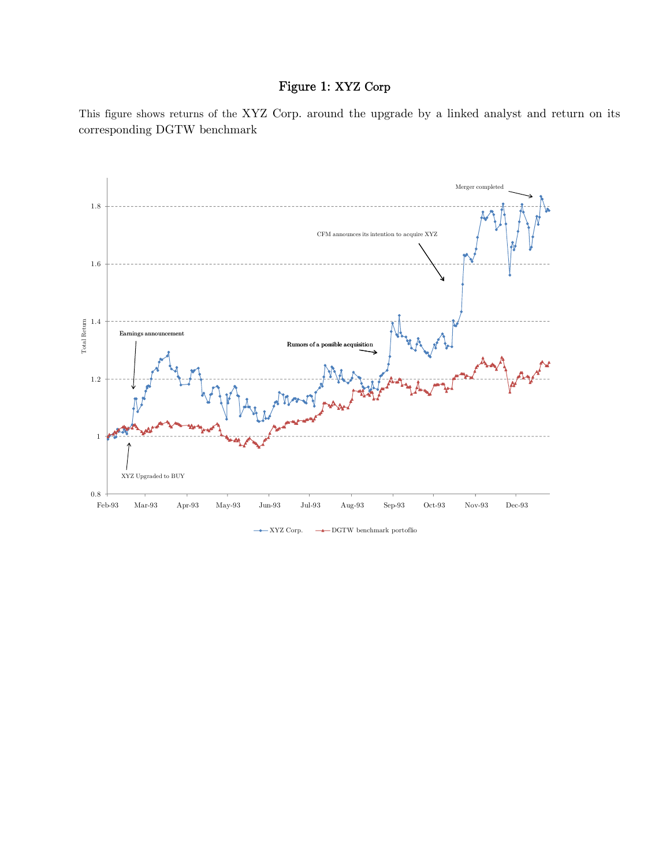## Figure 1: XYZ Corp

This figure shows returns of the XYZ Corp. around the upgrade by a linked analyst and return on its corresponding DGTW benchmark



 $\leftarrow$  XYZ Corp.  $\rightarrow$  DGTW benchmark portoflio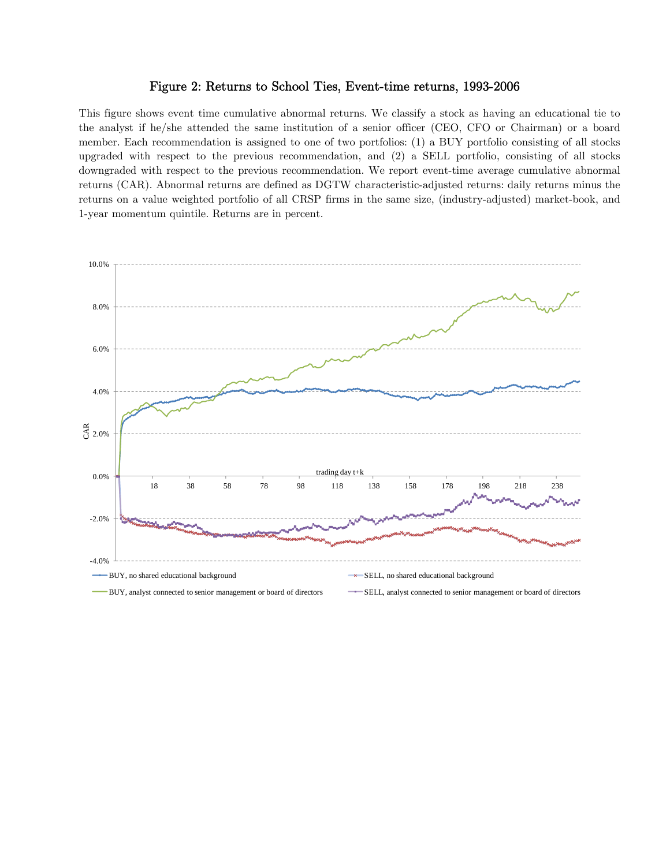### Figure 2: Returns to School Ties, Event-time returns, 1993-2006

This figure shows event time cumulative abnormal returns. We classify a stock as having an educational tie to the analyst if he/she attended the same institution of a senior officer (CEO, CFO or Chairman) or a board member. Each recommendation is assigned to one of two portfolios: (1) a BUY portfolio consisting of all stocks upgraded with respect to the previous recommendation, and (2) a SELL portfolio, consisting of all stocks downgraded with respect to the previous recommendation. We report event-time average cumulative abnormal returns (CAR). Abnormal returns are defined as DGTW characteristic-adjusted returns: daily returns minus the returns on a value weighted portfolio of all CRSP firms in the same size, (industry-adjusted) market-book, and 1-year momentum quintile. Returns are in percent.

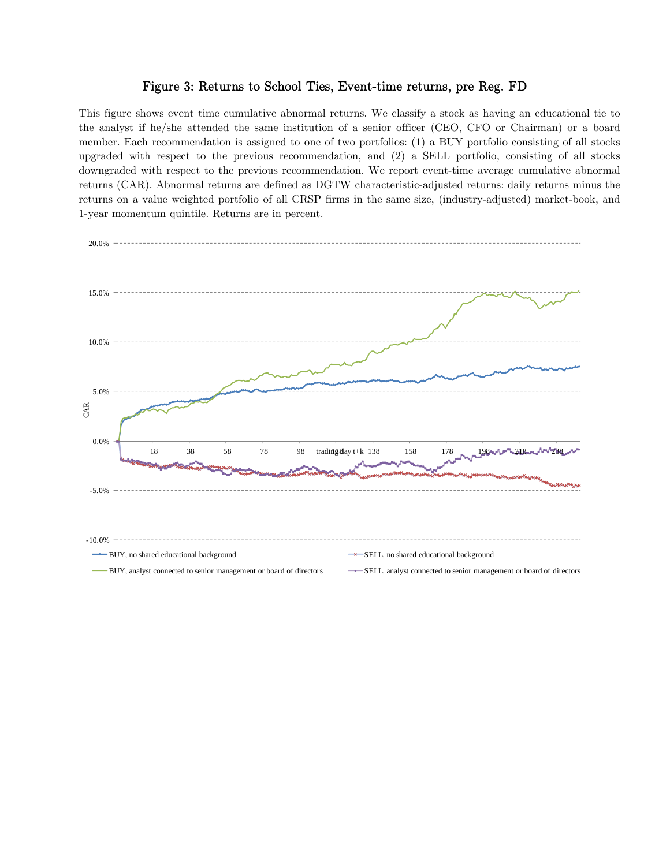### Figure 3: Returns to School Ties, Event-time returns, pre Reg. FD

This figure shows event time cumulative abnormal returns. We classify a stock as having an educational tie to the analyst if he/she attended the same institution of a senior officer (CEO, CFO or Chairman) or a board member. Each recommendation is assigned to one of two portfolios: (1) a BUY portfolio consisting of all stocks upgraded with respect to the previous recommendation, and (2) a SELL portfolio, consisting of all stocks downgraded with respect to the previous recommendation. We report event-time average cumulative abnormal returns (CAR). Abnormal returns are defined as DGTW characteristic-adjusted returns: daily returns minus the returns on a value weighted portfolio of all CRSP firms in the same size, (industry-adjusted) market-book, and 1-year momentum quintile. Returns are in percent.